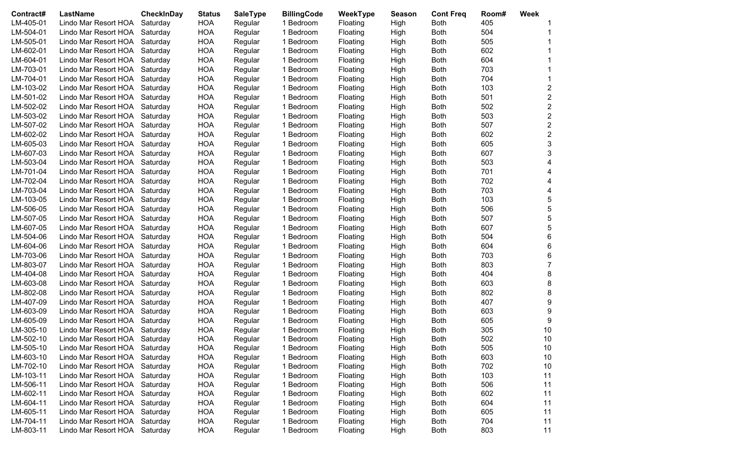| Contract# | LastName             | CheckInDay | <b>Status</b> | <b>SaleType</b> | <b>BillingCode</b> | WeekType | <b>Season</b> | <b>Cont Freq</b> | Room# | <b>Week</b>             |  |
|-----------|----------------------|------------|---------------|-----------------|--------------------|----------|---------------|------------------|-------|-------------------------|--|
| LM-405-01 | Lindo Mar Resort HOA | Saturday   | <b>HOA</b>    | Regular         | 1 Bedroom          | Floating | High          | <b>Both</b>      | 405   |                         |  |
| LM-504-01 | Lindo Mar Resort HOA | Saturday   | <b>HOA</b>    | Regular         | 1 Bedroom          | Floating | High          | <b>Both</b>      | 504   |                         |  |
| LM-505-01 | Lindo Mar Resort HOA | Saturday   | <b>HOA</b>    | Regular         | 1 Bedroom          | Floating | High          | <b>Both</b>      | 505   |                         |  |
| LM-602-01 | Lindo Mar Resort HOA | Saturday   | <b>HOA</b>    | Regular         | 1 Bedroom          | Floating | High          | Both             | 602   |                         |  |
| LM-604-01 | Lindo Mar Resort HOA | Saturday   | <b>HOA</b>    | Regular         | 1 Bedroom          | Floating | High          | <b>Both</b>      | 604   |                         |  |
| LM-703-01 | Lindo Mar Resort HOA | Saturday   | <b>HOA</b>    | Regular         | 1 Bedroom          | Floating | High          | <b>Both</b>      | 703   |                         |  |
| LM-704-01 | Lindo Mar Resort HOA | Saturday   | <b>HOA</b>    | Regular         | 1 Bedroom          | Floating | High          | <b>Both</b>      | 704   |                         |  |
| LM-103-02 | Lindo Mar Resort HOA | Saturday   | <b>HOA</b>    | Regular         | 1 Bedroom          | Floating | High          | Both             | 103   | $\overline{\mathbf{c}}$ |  |
| LM-501-02 | Lindo Mar Resort HOA | Saturday   | <b>HOA</b>    | Regular         | 1 Bedroom          | Floating | High          | Both             | 501   | $\overline{\mathbf{c}}$ |  |
| LM-502-02 | Lindo Mar Resort HOA | Saturday   | <b>HOA</b>    | Regular         | 1 Bedroom          | Floating | High          | <b>Both</b>      | 502   | $\overline{c}$          |  |
| LM-503-02 | Lindo Mar Resort HOA | Saturday   | <b>HOA</b>    | Regular         | 1 Bedroom          | Floating | High          | Both             | 503   | $\overline{c}$          |  |
| LM-507-02 | Lindo Mar Resort HOA | Saturday   | <b>HOA</b>    | Regular         | 1 Bedroom          | Floating | High          | Both             | 507   | $\boldsymbol{2}$        |  |
| LM-602-02 | Lindo Mar Resort HOA | Saturday   | <b>HOA</b>    | Regular         | 1 Bedroom          | Floating | High          | Both             | 602   | $\overline{2}$          |  |
| LM-605-03 | Lindo Mar Resort HOA | Saturday   | <b>HOA</b>    | Regular         | 1 Bedroom          | Floating | High          | Both             | 605   | $\mathfrak{B}$          |  |
| LM-607-03 | Lindo Mar Resort HOA | Saturday   | <b>HOA</b>    | Regular         | 1 Bedroom          | Floating | High          | <b>Both</b>      | 607   | 3                       |  |
| LM-503-04 | Lindo Mar Resort HOA | Saturday   | <b>HOA</b>    | Regular         | 1 Bedroom          | Floating | High          | Both             | 503   | 4                       |  |
| LM-701-04 | Lindo Mar Resort HOA | Saturday   | <b>HOA</b>    | Regular         | 1 Bedroom          | Floating | High          | Both             | 701   | 4                       |  |
| LM-702-04 | Lindo Mar Resort HOA | Saturday   | <b>HOA</b>    | Regular         | 1 Bedroom          | Floating | High          | Both             | 702   | 4                       |  |
| LM-703-04 | Lindo Mar Resort HOA | Saturday   | <b>HOA</b>    | Regular         | 1 Bedroom          | Floating | High          | <b>Both</b>      | 703   | 4                       |  |
| LM-103-05 | Lindo Mar Resort HOA | Saturday   | <b>HOA</b>    | Regular         | 1 Bedroom          | Floating | High          | <b>Both</b>      | 103   | 5                       |  |
| LM-506-05 | Lindo Mar Resort HOA | Saturday   | <b>HOA</b>    | Regular         | 1 Bedroom          | Floating | High          | <b>Both</b>      | 506   | 5                       |  |
| LM-507-05 | Lindo Mar Resort HOA | Saturday   | <b>HOA</b>    | Regular         | 1 Bedroom          | Floating | High          | <b>Both</b>      | 507   | 5                       |  |
| LM-607-05 | Lindo Mar Resort HOA | Saturday   | <b>HOA</b>    | Regular         | 1 Bedroom          | Floating | High          | Both             | 607   | 5                       |  |
| LM-504-06 | Lindo Mar Resort HOA | Saturday   | HOA           | Regular         | 1 Bedroom          | Floating | High          | Both             | 504   | 6                       |  |
| LM-604-06 | Lindo Mar Resort HOA | Saturday   | <b>HOA</b>    | Regular         | 1 Bedroom          | Floating | High          | <b>Both</b>      | 604   | 6                       |  |
| LM-703-06 | Lindo Mar Resort HOA | Saturday   | <b>HOA</b>    | Regular         | 1 Bedroom          | Floating | High          | Both             | 703   | 6                       |  |
| LM-803-07 | Lindo Mar Resort HOA | Saturday   | <b>HOA</b>    | Regular         | 1 Bedroom          | Floating | High          | <b>Both</b>      | 803   | $\overline{7}$          |  |
| LM-404-08 | Lindo Mar Resort HOA | Saturday   | <b>HOA</b>    | Regular         | 1 Bedroom          | Floating | High          | Both             | 404   | 8                       |  |
| LM-603-08 | Lindo Mar Resort HOA | Saturday   | <b>HOA</b>    | Regular         | 1 Bedroom          | Floating | High          | Both             | 603   | 8                       |  |
| LM-802-08 | Lindo Mar Resort HOA | Saturday   | <b>HOA</b>    | Regular         | 1 Bedroom          | Floating | High          | <b>Both</b>      | 802   | 8                       |  |
| LM-407-09 | Lindo Mar Resort HOA | Saturday   | <b>HOA</b>    | Regular         | 1 Bedroom          | Floating | High          | Both             | 407   | 9                       |  |
| LM-603-09 | Lindo Mar Resort HOA | Saturday   | <b>HOA</b>    | Regular         | 1 Bedroom          | Floating | High          | Both             | 603   | 9                       |  |
| LM-605-09 | Lindo Mar Resort HOA | Saturday   | <b>HOA</b>    | Regular         | 1 Bedroom          | Floating | High          | Both             | 605   | 9                       |  |
| LM-305-10 | Lindo Mar Resort HOA | Saturday   | <b>HOA</b>    | Regular         | 1 Bedroom          | Floating | High          | Both             | 305   | 10                      |  |
| LM-502-10 | Lindo Mar Resort HOA | Saturday   | <b>HOA</b>    | Regular         | Bedroom            | Floating | High          | Both             | 502   | 10                      |  |
| LM-505-10 | Lindo Mar Resort HOA | Saturday   | <b>HOA</b>    | Regular         | 1 Bedroom          | Floating | High          | <b>Both</b>      | 505   | 10                      |  |
| LM-603-10 | Lindo Mar Resort HOA | Saturday   | <b>HOA</b>    | Regular         | 1 Bedroom          | Floating | High          | Both             | 603   | 10                      |  |
| LM-702-10 | Lindo Mar Resort HOA | Saturday   | <b>HOA</b>    | Regular         | 1 Bedroom          | Floating | High          | Both             | 702   | 10                      |  |
| LM-103-11 | Lindo Mar Resort HOA | Saturday   | <b>HOA</b>    | Regular         | 1 Bedroom          | Floating | High          | Both             | 103   | 11                      |  |
| LM-506-11 | Lindo Mar Resort HOA | Saturday   | <b>HOA</b>    | Regular         | 1 Bedroom          | Floating | High          | Both             | 506   | 11                      |  |
| LM-602-11 | Lindo Mar Resort HOA | Saturday   | <b>HOA</b>    | Regular         | 1 Bedroom          | Floating | High          | Both             | 602   | 11                      |  |
| LM-604-11 | Lindo Mar Resort HOA | Saturday   | <b>HOA</b>    | Regular         | 1 Bedroom          | Floating | High          | Both             | 604   | 11                      |  |
| LM-605-11 | Lindo Mar Resort HOA | Saturday   | <b>HOA</b>    | Regular         | 1 Bedroom          | Floating | High          | Both             | 605   | 11                      |  |
| LM-704-11 | Lindo Mar Resort HOA | Saturday   | <b>HOA</b>    | Regular         | 1 Bedroom          | Floating | High          | Both             | 704   | 11                      |  |
| LM-803-11 | Lindo Mar Resort HOA | Saturday   | <b>HOA</b>    | Regular         | 1 Bedroom          | Floating | High          | <b>Both</b>      | 803   | 11                      |  |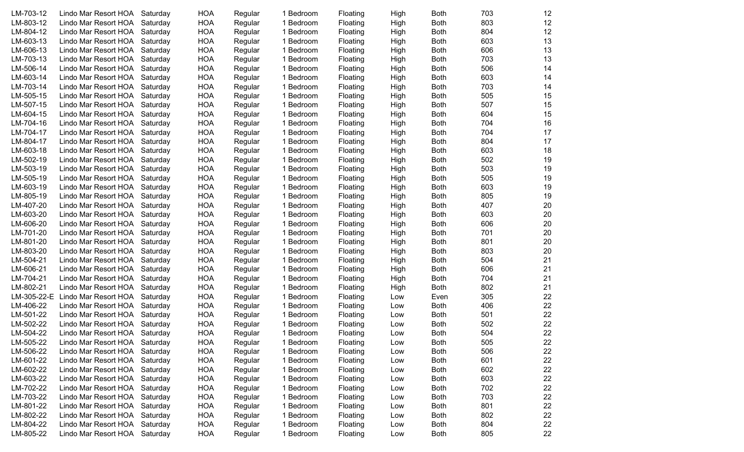| LM-703-12   | Lindo Mar Resort HOA | Saturday | <b>HOA</b> | Regular | 1 Bedroom | Floating | High | <b>Both</b> | 703 | 12 |
|-------------|----------------------|----------|------------|---------|-----------|----------|------|-------------|-----|----|
| LM-803-12   | Lindo Mar Resort HOA | Saturday | <b>HOA</b> | Regular | 1 Bedroom | Floating | High | <b>Both</b> | 803 | 12 |
| LM-804-12   | Lindo Mar Resort HOA | Saturday | <b>HOA</b> | Regular | 1 Bedroom | Floating | High | <b>Both</b> | 804 | 12 |
| LM-603-13   | Lindo Mar Resort HOA | Saturday | <b>HOA</b> | Regular | 1 Bedroom | Floating | High | <b>Both</b> | 603 | 13 |
| LM-606-13   | Lindo Mar Resort HOA | Saturday | <b>HOA</b> | Regular | 1 Bedroom | Floating | High | <b>Both</b> | 606 | 13 |
| LM-703-13   | Lindo Mar Resort HOA | Saturday | <b>HOA</b> | Regular | 1 Bedroom | Floating | High | <b>Both</b> | 703 | 13 |
| LM-506-14   | Lindo Mar Resort HOA | Saturday | <b>HOA</b> | Regular | 1 Bedroom | Floating | High | <b>Both</b> | 506 | 14 |
| LM-603-14   | Lindo Mar Resort HOA | Saturday | <b>HOA</b> | Regular | 1 Bedroom | Floating | High | <b>Both</b> | 603 | 14 |
| LM-703-14   | Lindo Mar Resort HOA | Saturday | <b>HOA</b> | Regular | 1 Bedroom | Floating | High | <b>Both</b> | 703 | 14 |
| LM-505-15   | Lindo Mar Resort HOA | Saturday | <b>HOA</b> | Regular | 1 Bedroom | Floating | High | <b>Both</b> | 505 | 15 |
| LM-507-15   | Lindo Mar Resort HOA | Saturday | <b>HOA</b> | Regular | 1 Bedroom | Floating | High | <b>Both</b> | 507 | 15 |
| LM-604-15   | Lindo Mar Resort HOA | Saturday | <b>HOA</b> | Regular | 1 Bedroom | Floating | High | <b>Both</b> | 604 | 15 |
| LM-704-16   | Lindo Mar Resort HOA | Saturday | <b>HOA</b> | Regular | 1 Bedroom | Floating | High | <b>Both</b> | 704 | 16 |
| LM-704-17   | Lindo Mar Resort HOA | Saturday | <b>HOA</b> | Regular | 1 Bedroom | Floating | High | <b>Both</b> | 704 | 17 |
| LM-804-17   | Lindo Mar Resort HOA | Saturday | <b>HOA</b> | Regular | 1 Bedroom | Floating | High | <b>Both</b> | 804 | 17 |
| LM-603-18   | Lindo Mar Resort HOA | Saturday | <b>HOA</b> | Regular | 1 Bedroom | Floating | High | <b>Both</b> | 603 | 18 |
| LM-502-19   | Lindo Mar Resort HOA | Saturday | <b>HOA</b> | Regular | 1 Bedroom | Floating | High | <b>Both</b> | 502 | 19 |
| LM-503-19   | Lindo Mar Resort HOA | Saturday | <b>HOA</b> | Regular | 1 Bedroom | Floating | High | <b>Both</b> | 503 | 19 |
| LM-505-19   | Lindo Mar Resort HOA | Saturday | <b>HOA</b> | Regular | 1 Bedroom | Floating | High | <b>Both</b> | 505 | 19 |
| LM-603-19   | Lindo Mar Resort HOA | Saturday | <b>HOA</b> | Regular | 1 Bedroom | Floating | High | <b>Both</b> | 603 | 19 |
| LM-805-19   | Lindo Mar Resort HOA | Saturday | <b>HOA</b> | Regular | 1 Bedroom | Floating | High | <b>Both</b> | 805 | 19 |
| LM-407-20   | Lindo Mar Resort HOA | Saturday | <b>HOA</b> | Regular | 1 Bedroom | Floating | High | <b>Both</b> | 407 | 20 |
| LM-603-20   | Lindo Mar Resort HOA | Saturday | <b>HOA</b> | Regular | 1 Bedroom | Floating | High | <b>Both</b> | 603 | 20 |
| LM-606-20   | Lindo Mar Resort HOA | Saturday | <b>HOA</b> | Regular | 1 Bedroom | Floating | High | <b>Both</b> | 606 | 20 |
| LM-701-20   | Lindo Mar Resort HOA | Saturday | <b>HOA</b> | Regular | 1 Bedroom | Floating | High | <b>Both</b> | 701 | 20 |
| LM-801-20   | Lindo Mar Resort HOA | Saturday | <b>HOA</b> | Regular | 1 Bedroom | Floating | High | <b>Both</b> | 801 | 20 |
| LM-803-20   | Lindo Mar Resort HOA | Saturday | <b>HOA</b> | Regular | 1 Bedroom | Floating | High | <b>Both</b> | 803 | 20 |
| LM-504-21   | Lindo Mar Resort HOA | Saturday | <b>HOA</b> | Regular | 1 Bedroom | Floating | High | <b>Both</b> | 504 | 21 |
| LM-606-21   | Lindo Mar Resort HOA | Saturday | <b>HOA</b> | Regular | 1 Bedroom | Floating | High | <b>Both</b> | 606 | 21 |
| LM-704-21   | Lindo Mar Resort HOA | Saturday | <b>HOA</b> | Regular | 1 Bedroom | Floating | High | <b>Both</b> | 704 | 21 |
| LM-802-21   | Lindo Mar Resort HOA | Saturday | <b>HOA</b> | Regular | 1 Bedroom | Floating | High | <b>Both</b> | 802 | 21 |
| LM-305-22-E | Lindo Mar Resort HOA | Saturday | <b>HOA</b> | Regular | 1 Bedroom | Floating | Low  | Even        | 305 | 22 |
| LM-406-22   | Lindo Mar Resort HOA | Saturday | <b>HOA</b> | Regular | 1 Bedroom | Floating | Low  | <b>Both</b> | 406 | 22 |
| LM-501-22   | Lindo Mar Resort HOA | Saturday | <b>HOA</b> | Regular | 1 Bedroom | Floating | Low  | <b>Both</b> | 501 | 22 |
| LM-502-22   | Lindo Mar Resort HOA | Saturday | <b>HOA</b> | Regular | 1 Bedroom | Floating | Low  | <b>Both</b> | 502 | 22 |
| LM-504-22   | Lindo Mar Resort HOA | Saturday | <b>HOA</b> | Regular | 1 Bedroom | Floating | Low  | <b>Both</b> | 504 | 22 |
| LM-505-22   | Lindo Mar Resort HOA | Saturday | <b>HOA</b> | Regular | 1 Bedroom | Floating | Low  | <b>Both</b> | 505 | 22 |
| LM-506-22   | Lindo Mar Resort HOA | Saturday | <b>HOA</b> | Regular | 1 Bedroom | Floating | Low  | <b>Both</b> | 506 | 22 |
| LM-601-22   | Lindo Mar Resort HOA | Saturday | <b>HOA</b> | Regular | 1 Bedroom | Floating | Low  | <b>Both</b> | 601 | 22 |
| LM-602-22   | Lindo Mar Resort HOA | Saturday | <b>HOA</b> | Regular | 1 Bedroom | Floating | Low  | <b>Both</b> | 602 | 22 |
| LM-603-22   | Lindo Mar Resort HOA | Saturday | <b>HOA</b> | Regular | 1 Bedroom | Floating | Low  | <b>Both</b> | 603 | 22 |
| LM-702-22   | Lindo Mar Resort HOA | Saturday | <b>HOA</b> | Regular | 1 Bedroom | Floating | Low  | <b>Both</b> | 702 | 22 |
| LM-703-22   | Lindo Mar Resort HOA | Saturday | <b>HOA</b> | Regular | 1 Bedroom | Floating | Low  | <b>Both</b> | 703 | 22 |
| LM-801-22   | Lindo Mar Resort HOA | Saturday | <b>HOA</b> | Regular | 1 Bedroom | Floating | Low  | <b>Both</b> | 801 | 22 |
| LM-802-22   | Lindo Mar Resort HOA | Saturday | <b>HOA</b> | Regular | 1 Bedroom | Floating | Low  | <b>Both</b> | 802 | 22 |
| LM-804-22   | Lindo Mar Resort HOA | Saturday | <b>HOA</b> | Regular | 1 Bedroom | Floating | Low  | <b>Both</b> | 804 | 22 |
| LM-805-22   | Lindo Mar Resort HOA | Saturday | <b>HOA</b> | Regular | 1 Bedroom | Floating | Low  | <b>Both</b> | 805 | 22 |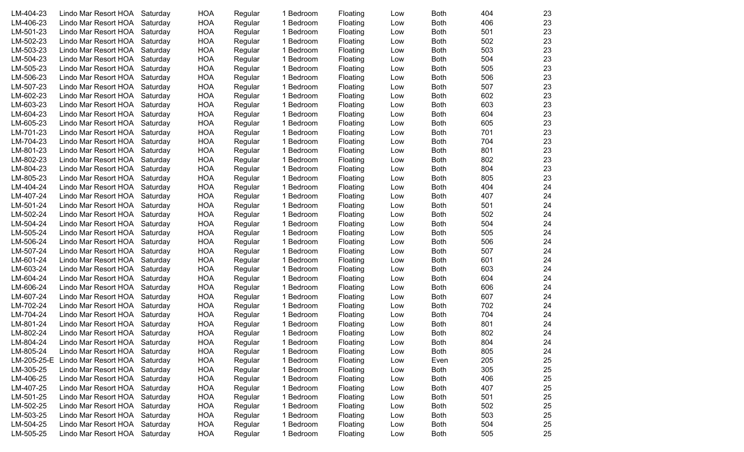| LM-404-23              | Lindo Mar Resort HOA                         | Saturday             | <b>HOA</b>               | Regular            | 1 Bedroom              | Floating             | Low        | <b>Both</b>                | 404        | 23       |
|------------------------|----------------------------------------------|----------------------|--------------------------|--------------------|------------------------|----------------------|------------|----------------------------|------------|----------|
| LM-406-23              | Lindo Mar Resort HOA                         | Saturday             | <b>HOA</b>               | Regular            | 1 Bedroom              | Floating             | Low        | <b>Both</b>                | 406        | 23       |
| LM-501-23              | Lindo Mar Resort HOA                         | Saturday             | <b>HOA</b>               | Regular            | 1 Bedroom              | Floating             | Low        | <b>Both</b>                | 501        | 23       |
| LM-502-23              | Lindo Mar Resort HOA                         | Saturday             | <b>HOA</b>               | Regular            | 1 Bedroom              | Floating             | Low        | <b>Both</b>                | 502        | 23       |
| LM-503-23              | Lindo Mar Resort HOA                         | Saturday             | <b>HOA</b>               | Regular            | 1 Bedroom              | Floating             | Low        | <b>Both</b>                | 503        | 23       |
| LM-504-23              | Lindo Mar Resort HOA                         | Saturday             | <b>HOA</b>               | Regular            | 1 Bedroom              | Floating             | Low        | <b>Both</b>                | 504        | 23       |
| LM-505-23              | Lindo Mar Resort HOA                         | Saturday             | <b>HOA</b>               | Regular            | 1 Bedroom              | Floating             | Low        | <b>Both</b>                | 505        | 23       |
| LM-506-23              | Lindo Mar Resort HOA                         | Saturday             | <b>HOA</b>               | Regular            | 1 Bedroom              | Floating             | Low        | <b>Both</b>                | 506        | 23       |
| LM-507-23              | Lindo Mar Resort HOA                         | Saturday             | <b>HOA</b>               | Regular            | 1 Bedroom              | Floating             | Low        | <b>Both</b>                | 507        | 23       |
| LM-602-23              | Lindo Mar Resort HOA                         | Saturday             | <b>HOA</b>               | Regular            | 1 Bedroom              | Floating             | Low        | <b>Both</b>                | 602        | 23       |
| LM-603-23              | Lindo Mar Resort HOA                         | Saturday             | <b>HOA</b>               | Regular            | 1 Bedroom              | Floating             | Low        | <b>Both</b>                | 603        | 23       |
| LM-604-23              | Lindo Mar Resort HOA                         | Saturday             | <b>HOA</b>               | Regular            | 1 Bedroom              | Floating             | Low        | <b>Both</b>                | 604        | 23       |
| LM-605-23              | Lindo Mar Resort HOA                         | Saturday             | <b>HOA</b>               | Regular            | 1 Bedroom              | Floating             | Low        | <b>Both</b>                | 605        | 23       |
| LM-701-23              | Lindo Mar Resort HOA                         | Saturday             | <b>HOA</b>               | Regular            | 1 Bedroom              | Floating             | Low        | <b>Both</b>                | 701        | 23       |
| LM-704-23              | Lindo Mar Resort HOA                         | Saturday             | <b>HOA</b>               | Regular            | 1 Bedroom              | Floating             | Low        | <b>Both</b>                | 704        | 23       |
| LM-801-23              | Lindo Mar Resort HOA                         | Saturday             | <b>HOA</b>               | Regular            | 1 Bedroom              | Floating             | Low        | <b>Both</b>                | 801        | 23       |
| LM-802-23              | Lindo Mar Resort HOA                         | Saturday             | <b>HOA</b>               | Regular            | 1 Bedroom              | Floating             | Low        | <b>Both</b>                | 802        | 23       |
| LM-804-23              | Lindo Mar Resort HOA                         | Saturday             | <b>HOA</b>               | Regular            | 1 Bedroom              | Floating             | Low        | <b>Both</b>                | 804        | 23       |
| LM-805-23              | Lindo Mar Resort HOA                         | Saturday             | <b>HOA</b>               | Regular            | 1 Bedroom              | Floating             | Low        | <b>Both</b>                | 805        | 23       |
| LM-404-24              | Lindo Mar Resort HOA                         | Saturday             | <b>HOA</b>               | Regular            | 1 Bedroom              | Floating             | Low        | <b>Both</b>                | 404        | 24       |
| LM-407-24              | Lindo Mar Resort HOA                         | Saturday             | <b>HOA</b>               | Regular            | 1 Bedroom              | Floating             | Low        | <b>Both</b>                | 407        | 24       |
| LM-501-24              | Lindo Mar Resort HOA                         | Saturday             | <b>HOA</b>               | Regular            | 1 Bedroom              | Floating             | Low        | <b>Both</b>                | 501        | 24       |
| LM-502-24              | Lindo Mar Resort HOA                         | Saturday             | <b>HOA</b>               | Regular            | 1 Bedroom              | Floating             | Low        | <b>Both</b>                | 502        | 24       |
| LM-504-24              | Lindo Mar Resort HOA                         | Saturday             | <b>HOA</b>               | Regular            | 1 Bedroom              | Floating             | Low        | <b>Both</b>                | 504        | 24       |
| LM-505-24              | Lindo Mar Resort HOA                         | Saturday             | <b>HOA</b>               | Regular            | 1 Bedroom              | Floating             | Low        | <b>Both</b>                | 505        | 24       |
| LM-506-24              | Lindo Mar Resort HOA                         | Saturday             | <b>HOA</b>               | Regular            | 1 Bedroom              | Floating             | Low        | <b>Both</b>                | 506        | 24       |
| LM-507-24              | Lindo Mar Resort HOA                         | Saturday             | <b>HOA</b>               | Regular            | 1 Bedroom              | Floating             | Low        | <b>Both</b>                | 507        | 24       |
| LM-601-24              | Lindo Mar Resort HOA                         | Saturday             | <b>HOA</b>               | Regular            | 1 Bedroom              | Floating             | Low        | <b>Both</b>                | 601        | 24       |
| LM-603-24              | Lindo Mar Resort HOA                         | Saturday             | <b>HOA</b>               | Regular            | 1 Bedroom              | Floating             | Low        | <b>Both</b>                | 603        | 24       |
| LM-604-24              | Lindo Mar Resort HOA                         | Saturday             | <b>HOA</b>               | Regular            | 1 Bedroom              | Floating             | Low        | <b>Both</b>                | 604        | 24       |
| LM-606-24              | Lindo Mar Resort HOA                         | Saturday             | <b>HOA</b>               | Regular            | 1 Bedroom              | Floating             | Low        | <b>Both</b>                | 606        | 24       |
| LM-607-24              | Lindo Mar Resort HOA                         | Saturday             | <b>HOA</b>               | Regular            | 1 Bedroom              | Floating             | Low        | <b>Both</b>                | 607        | 24       |
| LM-702-24              | Lindo Mar Resort HOA                         | Saturday             | <b>HOA</b>               | Regular            | 1 Bedroom              | Floating             | Low        | <b>Both</b>                | 702        | 24       |
| LM-704-24              | Lindo Mar Resort HOA                         | Saturday             | <b>HOA</b>               | Regular            | 1 Bedroom              | Floating             | Low        | <b>Both</b>                | 704        | 24       |
| LM-801-24              | Lindo Mar Resort HOA                         | Saturday             | <b>HOA</b>               | Regular            | 1 Bedroom              | Floating             | Low        | <b>Both</b>                | 801        | 24       |
| LM-802-24              | Lindo Mar Resort HOA                         | Saturday             | <b>HOA</b>               | Regular            | 1 Bedroom              | Floating             | Low        | <b>Both</b>                | 802        | 24       |
| LM-804-24              | Lindo Mar Resort HOA                         | Saturday             | <b>HOA</b>               | Regular            | 1 Bedroom              | Floating             | Low        | <b>Both</b>                | 804        | 24       |
| LM-805-24              | Lindo Mar Resort HOA                         | Saturday             | <b>HOA</b>               | Regular            | 1 Bedroom              | Floating             | Low        | <b>Both</b>                | 805        | 24       |
| LM-205-25-E            | Lindo Mar Resort HOA                         | Saturday             | <b>HOA</b>               | Regular            | 1 Bedroom              | Floating             | Low        | Even                       | 205        | 25       |
| LM-305-25              | Lindo Mar Resort HOA                         | Saturday             | <b>HOA</b>               | Regular            | 1 Bedroom<br>1 Bedroom | Floating             | Low        | <b>Both</b>                | 305        | 25       |
| LM-406-25<br>LM-407-25 | Lindo Mar Resort HOA<br>Lindo Mar Resort HOA | Saturday             | <b>HOA</b>               | Regular            |                        | Floating             | Low        | <b>Both</b>                | 406<br>407 | 25<br>25 |
| LM-501-25              | Lindo Mar Resort HOA                         | Saturday<br>Saturday | <b>HOA</b><br><b>HOA</b> | Regular            | 1 Bedroom<br>1 Bedroom | Floating<br>Floating | Low        | <b>Both</b><br><b>Both</b> | 501        | 25       |
| LM-502-25              | Lindo Mar Resort HOA                         | Saturday             | <b>HOA</b>               | Regular<br>Regular | 1 Bedroom              | Floating             | Low<br>Low | <b>Both</b>                | 502        | 25       |
| LM-503-25              | Lindo Mar Resort HOA                         | Saturday             | <b>HOA</b>               | Regular            | 1 Bedroom              | Floating             | Low        | <b>Both</b>                | 503        | 25       |
| LM-504-25              | Lindo Mar Resort HOA                         | Saturday             | <b>HOA</b>               | Regular            | 1 Bedroom              | Floating             | Low        | <b>Both</b>                | 504        | 25       |
| LM-505-25              | Lindo Mar Resort HOA                         | Saturday             | <b>HOA</b>               | Regular            | 1 Bedroom              | Floating             | Low        | <b>Both</b>                | 505        | 25       |
|                        |                                              |                      |                          |                    |                        |                      |            |                            |            |          |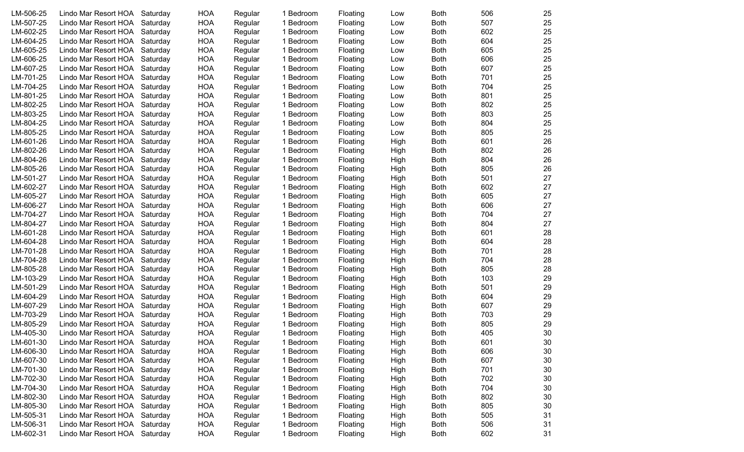| LM-506-25 | Lindo Mar Resort HOA | Saturday | HOA        | Regular | 1 Bedroom | Floating | Low  | <b>Both</b> | 506 | 25 |
|-----------|----------------------|----------|------------|---------|-----------|----------|------|-------------|-----|----|
| LM-507-25 | Lindo Mar Resort HOA | Saturday | <b>HOA</b> | Regular | 1 Bedroom | Floating | Low  | <b>Both</b> | 507 | 25 |
| LM-602-25 | Lindo Mar Resort HOA | Saturday | <b>HOA</b> | Regular | 1 Bedroom | Floating | Low  | <b>Both</b> | 602 | 25 |
| LM-604-25 | Lindo Mar Resort HOA | Saturday | <b>HOA</b> | Regular | 1 Bedroom | Floating | Low  | <b>Both</b> | 604 | 25 |
| LM-605-25 | Lindo Mar Resort HOA | Saturday | <b>HOA</b> | Regular | 1 Bedroom | Floating | Low  | <b>Both</b> | 605 | 25 |
| LM-606-25 | Lindo Mar Resort HOA | Saturday | <b>HOA</b> | Regular | 1 Bedroom | Floating | Low  | <b>Both</b> | 606 | 25 |
| LM-607-25 | Lindo Mar Resort HOA | Saturday | <b>HOA</b> | Regular | 1 Bedroom | Floating | Low  | <b>Both</b> | 607 | 25 |
| LM-701-25 | Lindo Mar Resort HOA | Saturday | <b>HOA</b> | Regular | 1 Bedroom | Floating | Low  | <b>Both</b> | 701 | 25 |
| LM-704-25 | Lindo Mar Resort HOA | Saturday | <b>HOA</b> | Regular | 1 Bedroom | Floating | Low  | <b>Both</b> | 704 | 25 |
| LM-801-25 | Lindo Mar Resort HOA | Saturday | <b>HOA</b> | Regular | 1 Bedroom | Floating | Low  | <b>Both</b> | 801 | 25 |
| LM-802-25 | Lindo Mar Resort HOA | Saturday | <b>HOA</b> | Regular | 1 Bedroom | Floating | Low  | <b>Both</b> | 802 | 25 |
| LM-803-25 | Lindo Mar Resort HOA | Saturday | <b>HOA</b> | Regular | 1 Bedroom | Floating | Low  | <b>Both</b> | 803 | 25 |
| LM-804-25 | Lindo Mar Resort HOA | Saturday | <b>HOA</b> | Regular | 1 Bedroom | Floating | Low  | <b>Both</b> | 804 | 25 |
| LM-805-25 | Lindo Mar Resort HOA | Saturday | <b>HOA</b> | Regular | 1 Bedroom | Floating | Low  | <b>Both</b> | 805 | 25 |
| LM-601-26 | Lindo Mar Resort HOA | Saturday | <b>HOA</b> | Regular | 1 Bedroom | Floating | High | <b>Both</b> | 601 | 26 |
| LM-802-26 | Lindo Mar Resort HOA | Saturday | <b>HOA</b> | Regular | 1 Bedroom | Floating | High | <b>Both</b> | 802 | 26 |
| LM-804-26 | Lindo Mar Resort HOA | Saturday | <b>HOA</b> | Regular | 1 Bedroom | Floating | High | <b>Both</b> | 804 | 26 |
| LM-805-26 | Lindo Mar Resort HOA | Saturday | <b>HOA</b> | Regular | 1 Bedroom | Floating | High | <b>Both</b> | 805 | 26 |
| LM-501-27 | Lindo Mar Resort HOA | Saturday | <b>HOA</b> | Regular | 1 Bedroom | Floating | High | <b>Both</b> | 501 | 27 |
| LM-602-27 | Lindo Mar Resort HOA | Saturday | <b>HOA</b> | Regular | 1 Bedroom | Floating | High | <b>Both</b> | 602 | 27 |
| LM-605-27 | Lindo Mar Resort HOA | Saturday | <b>HOA</b> | Regular | 1 Bedroom | Floating | High | <b>Both</b> | 605 | 27 |
| LM-606-27 | Lindo Mar Resort HOA | Saturday | <b>HOA</b> | Regular | 1 Bedroom | Floating | High | <b>Both</b> | 606 | 27 |
| LM-704-27 | Lindo Mar Resort HOA | Saturday | <b>HOA</b> | Regular | 1 Bedroom | Floating | High | <b>Both</b> | 704 | 27 |
| LM-804-27 | Lindo Mar Resort HOA | Saturday | <b>HOA</b> | Regular | 1 Bedroom | Floating | High | <b>Both</b> | 804 | 27 |
| LM-601-28 | Lindo Mar Resort HOA | Saturday | <b>HOA</b> | Regular | 1 Bedroom | Floating | High | <b>Both</b> | 601 | 28 |
| LM-604-28 | Lindo Mar Resort HOA | Saturday | <b>HOA</b> | Regular | 1 Bedroom | Floating | High | <b>Both</b> | 604 | 28 |
| LM-701-28 | Lindo Mar Resort HOA | Saturday | <b>HOA</b> | Regular | 1 Bedroom | Floating | High | <b>Both</b> | 701 | 28 |
| LM-704-28 | Lindo Mar Resort HOA | Saturday | <b>HOA</b> | Regular | 1 Bedroom | Floating | High | <b>Both</b> | 704 | 28 |
| LM-805-28 | Lindo Mar Resort HOA | Saturday | <b>HOA</b> | Regular | 1 Bedroom | Floating | High | <b>Both</b> | 805 | 28 |
| LM-103-29 | Lindo Mar Resort HOA | Saturday | <b>HOA</b> | Regular | 1 Bedroom | Floating | High | <b>Both</b> | 103 | 29 |
| LM-501-29 | Lindo Mar Resort HOA | Saturday | <b>HOA</b> | Regular | 1 Bedroom | Floating | High | <b>Both</b> | 501 | 29 |
| LM-604-29 | Lindo Mar Resort HOA | Saturday | <b>HOA</b> | Regular | 1 Bedroom | Floating | High | <b>Both</b> | 604 | 29 |
| LM-607-29 | Lindo Mar Resort HOA | Saturday | <b>HOA</b> | Regular | 1 Bedroom | Floating | High | <b>Both</b> | 607 | 29 |
| LM-703-29 | Lindo Mar Resort HOA | Saturday | <b>HOA</b> | Regular | 1 Bedroom | Floating | High | Both        | 703 | 29 |
| LM-805-29 | Lindo Mar Resort HOA | Saturday | <b>HOA</b> | Regular | 1 Bedroom | Floating | High | <b>Both</b> | 805 | 29 |
| LM-405-30 | Lindo Mar Resort HOA | Saturday | <b>HOA</b> | Regular | 1 Bedroom | Floating | High | <b>Both</b> | 405 | 30 |
| LM-601-30 | Lindo Mar Resort HOA | Saturday | <b>HOA</b> | Regular | 1 Bedroom | Floating | High | <b>Both</b> | 601 | 30 |
| LM-606-30 | Lindo Mar Resort HOA | Saturday | <b>HOA</b> | Regular | 1 Bedroom | Floating | High | <b>Both</b> | 606 | 30 |
| LM-607-30 | Lindo Mar Resort HOA | Saturday | <b>HOA</b> | Regular | 1 Bedroom | Floating | High | <b>Both</b> | 607 | 30 |
| LM-701-30 | Lindo Mar Resort HOA | Saturday | <b>HOA</b> | Regular | 1 Bedroom | Floating | High | <b>Both</b> | 701 | 30 |
| LM-702-30 | Lindo Mar Resort HOA | Saturday | <b>HOA</b> | Regular | 1 Bedroom | Floating | High | <b>Both</b> | 702 | 30 |
| LM-704-30 | Lindo Mar Resort HOA | Saturday | <b>HOA</b> | Regular | 1 Bedroom | Floating | High | <b>Both</b> | 704 | 30 |
| LM-802-30 | Lindo Mar Resort HOA | Saturday | <b>HOA</b> | Regular | 1 Bedroom | Floating | High | <b>Both</b> | 802 | 30 |
| LM-805-30 | Lindo Mar Resort HOA | Saturday | <b>HOA</b> | Regular | 1 Bedroom | Floating | High | <b>Both</b> | 805 | 30 |
| LM-505-31 | Lindo Mar Resort HOA | Saturday | <b>HOA</b> | Regular | 1 Bedroom | Floating | High | <b>Both</b> | 505 | 31 |
| LM-506-31 | Lindo Mar Resort HOA | Saturday | <b>HOA</b> | Regular | 1 Bedroom | Floating | High | <b>Both</b> | 506 | 31 |
| LM-602-31 | Lindo Mar Resort HOA | Saturday | <b>HOA</b> | Regular | 1 Bedroom | Floating | High | <b>Both</b> | 602 | 31 |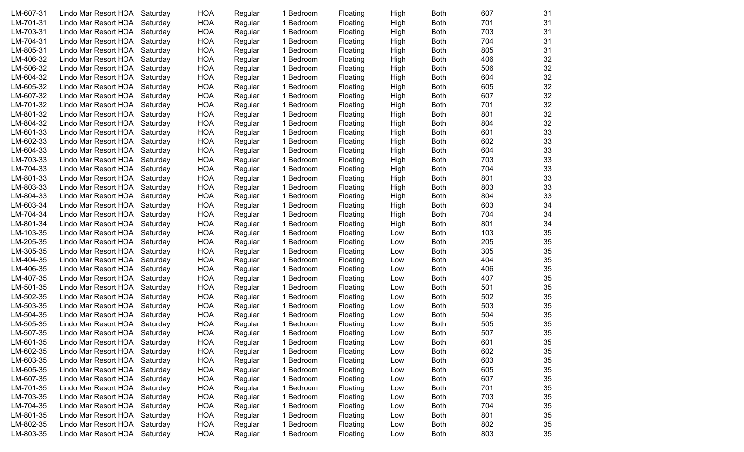| LM-607-31              | Lindo Mar Resort HOA                         | Saturday             | <b>HOA</b> | Regular | 1 Bedroom | Floating | High | <b>Both</b> | 607        | 31       |
|------------------------|----------------------------------------------|----------------------|------------|---------|-----------|----------|------|-------------|------------|----------|
| LM-701-31              | Lindo Mar Resort HOA                         | Saturday             | <b>HOA</b> | Regular | 1 Bedroom | Floating | High | <b>Both</b> | 701        | 31       |
| LM-703-31              | Lindo Mar Resort HOA                         | Saturday             | <b>HOA</b> | Regular | 1 Bedroom | Floating | High | <b>Both</b> | 703        | 31       |
| LM-704-31              | Lindo Mar Resort HOA                         | Saturday             | <b>HOA</b> | Regular | 1 Bedroom | Floating | High | <b>Both</b> | 704        | 31       |
| LM-805-31              | Lindo Mar Resort HOA                         | Saturday             | <b>HOA</b> | Regular | 1 Bedroom | Floating | High | <b>Both</b> | 805        | 31       |
| LM-406-32              | Lindo Mar Resort HOA                         | Saturday             | <b>HOA</b> | Regular | 1 Bedroom | Floating | High | <b>Both</b> | 406        | 32       |
| LM-506-32              | Lindo Mar Resort HOA                         | Saturday             | <b>HOA</b> | Regular | 1 Bedroom | Floating | High | <b>Both</b> | 506        | 32       |
| LM-604-32              | Lindo Mar Resort HOA                         | Saturday             | <b>HOA</b> | Regular | 1 Bedroom | Floating | High | <b>Both</b> | 604        | 32       |
| LM-605-32              | Lindo Mar Resort HOA                         | Saturday             | <b>HOA</b> | Regular | 1 Bedroom | Floating | High | <b>Both</b> | 605        | 32       |
| LM-607-32              | Lindo Mar Resort HOA                         | Saturday             | <b>HOA</b> | Regular | 1 Bedroom | Floating | High | <b>Both</b> | 607        | 32       |
| LM-701-32              | Lindo Mar Resort HOA                         | Saturday             | <b>HOA</b> | Regular | 1 Bedroom | Floating | High | <b>Both</b> | 701        | 32       |
| LM-801-32              | Lindo Mar Resort HOA                         | Saturday             | <b>HOA</b> | Regular | 1 Bedroom | Floating | High | <b>Both</b> | 801        | 32       |
| LM-804-32              | Lindo Mar Resort HOA                         | Saturday             | <b>HOA</b> | Regular | 1 Bedroom | Floating | High | <b>Both</b> | 804        | 32       |
| LM-601-33              | Lindo Mar Resort HOA                         | Saturday             | <b>HOA</b> | Regular | 1 Bedroom | Floating | High | <b>Both</b> | 601        | 33       |
| LM-602-33              | Lindo Mar Resort HOA                         | Saturday             | <b>HOA</b> | Regular | 1 Bedroom | Floating | High | <b>Both</b> | 602        | 33       |
| LM-604-33              | Lindo Mar Resort HOA                         | Saturday             | <b>HOA</b> | Regular | 1 Bedroom | Floating | High | <b>Both</b> | 604        | 33       |
| LM-703-33              | Lindo Mar Resort HOA                         | Saturday             | <b>HOA</b> | Regular | 1 Bedroom | Floating | High | <b>Both</b> | 703        | 33       |
| LM-704-33              | Lindo Mar Resort HOA                         | Saturday             | <b>HOA</b> | Regular | 1 Bedroom | Floating | High | <b>Both</b> | 704        | 33       |
| LM-801-33              | Lindo Mar Resort HOA                         | Saturday             | <b>HOA</b> | Regular | 1 Bedroom | Floating | High | <b>Both</b> | 801        | 33       |
| LM-803-33              | Lindo Mar Resort HOA                         | Saturday             | <b>HOA</b> | Regular | 1 Bedroom | Floating | High | <b>Both</b> | 803        | 33       |
| LM-804-33              | Lindo Mar Resort HOA                         | Saturday             | <b>HOA</b> | Regular | 1 Bedroom | Floating | High | <b>Both</b> | 804        | 33       |
| LM-603-34              | Lindo Mar Resort HOA                         | Saturday             | <b>HOA</b> | Regular | 1 Bedroom | Floating | High | <b>Both</b> | 603        | 34       |
| LM-704-34              | Lindo Mar Resort HOA                         | Saturday             | <b>HOA</b> | Regular | 1 Bedroom | Floating | High | <b>Both</b> | 704        | 34       |
| LM-801-34              | Lindo Mar Resort HOA                         | Saturday             | <b>HOA</b> | Regular | 1 Bedroom | Floating | High | <b>Both</b> | 801        | 34       |
| LM-103-35              | Lindo Mar Resort HOA                         | Saturday             | <b>HOA</b> | Regular | 1 Bedroom | Floating | Low  | <b>Both</b> | 103        | 35       |
| LM-205-35              | Lindo Mar Resort HOA                         | Saturday             | <b>HOA</b> | Regular | 1 Bedroom | Floating | Low  | <b>Both</b> | 205        | 35       |
| LM-305-35              | Lindo Mar Resort HOA                         | Saturday             | <b>HOA</b> | Regular | 1 Bedroom | Floating | Low  | <b>Both</b> | 305        | 35       |
| LM-404-35              | Lindo Mar Resort HOA                         | Saturday             | <b>HOA</b> | Regular | 1 Bedroom | Floating | Low  | <b>Both</b> | 404        | 35       |
| LM-406-35              | Lindo Mar Resort HOA                         | Saturday             | <b>HOA</b> | Regular | 1 Bedroom | Floating | Low  | <b>Both</b> | 406        | 35       |
| LM-407-35              | Lindo Mar Resort HOA                         | Saturday             | <b>HOA</b> | Regular | 1 Bedroom | Floating | Low  | <b>Both</b> | 407        | 35       |
| LM-501-35              | Lindo Mar Resort HOA                         | Saturday             | <b>HOA</b> | Regular | 1 Bedroom | Floating | Low  | <b>Both</b> | 501        | 35       |
| LM-502-35              | Lindo Mar Resort HOA                         | Saturday             | <b>HOA</b> | Regular | 1 Bedroom | Floating | Low  | <b>Both</b> | 502        | 35       |
| LM-503-35              | Lindo Mar Resort HOA                         | Saturday             | <b>HOA</b> | Regular | 1 Bedroom | Floating | Low  | <b>Both</b> | 503        | 35       |
| LM-504-35              | Lindo Mar Resort HOA                         | Saturday             | <b>HOA</b> | Regular | 1 Bedroom | Floating | Low  | <b>Both</b> | 504        | 35       |
| LM-505-35              | Lindo Mar Resort HOA                         | Saturday             | <b>HOA</b> | Regular | 1 Bedroom | Floating | Low  | <b>Both</b> | 505        | 35       |
| LM-507-35              | Lindo Mar Resort HOA                         | Saturday             | <b>HOA</b> | Regular | 1 Bedroom | Floating | Low  | <b>Both</b> | 507        | 35       |
| LM-601-35              | Lindo Mar Resort HOA                         | Saturday             | <b>HOA</b> | Regular | 1 Bedroom | Floating | Low  | <b>Both</b> | 601        | 35       |
| LM-602-35              | Lindo Mar Resort HOA                         | Saturday             | <b>HOA</b> | Regular | 1 Bedroom | Floating | Low  | <b>Both</b> | 602        | 35       |
| LM-603-35              | Lindo Mar Resort HOA                         | Saturday             | <b>HOA</b> | Regular | 1 Bedroom | Floating | Low  | <b>Both</b> | 603        | 35       |
| LM-605-35              | Lindo Mar Resort HOA                         | Saturday             | <b>HOA</b> | Regular | 1 Bedroom | Floating | Low  | <b>Both</b> | 605        | 35       |
| LM-607-35              | Lindo Mar Resort HOA                         | Saturday             | <b>HOA</b> | Regular | 1 Bedroom | Floating | Low  | <b>Both</b> | 607        | 35       |
| LM-701-35              | Lindo Mar Resort HOA                         | Saturday             | <b>HOA</b> | Regular | 1 Bedroom | Floating | Low  | <b>Both</b> | 701        | 35       |
| LM-703-35              | Lindo Mar Resort HOA                         | Saturday             | <b>HOA</b> | Regular | 1 Bedroom | Floating | Low  | <b>Both</b> | 703        | 35       |
| LM-704-35              | Lindo Mar Resort HOA                         | Saturday             | <b>HOA</b> | Regular | 1 Bedroom | Floating | Low  | <b>Both</b> | 704        | 35       |
| LM-801-35<br>LM-802-35 | Lindo Mar Resort HOA                         | Saturday             | <b>HOA</b> | Regular | 1 Bedroom | Floating | Low  | <b>Both</b> | 801<br>802 | 35<br>35 |
| LM-803-35              | Lindo Mar Resort HOA<br>Lindo Mar Resort HOA | Saturday<br>Saturday | <b>HOA</b> | Regular | 1 Bedroom | Floating | Low  | <b>Both</b> | 803        | 35       |
|                        |                                              |                      | <b>HOA</b> | Regular | 1 Bedroom | Floating | Low  | <b>Both</b> |            |          |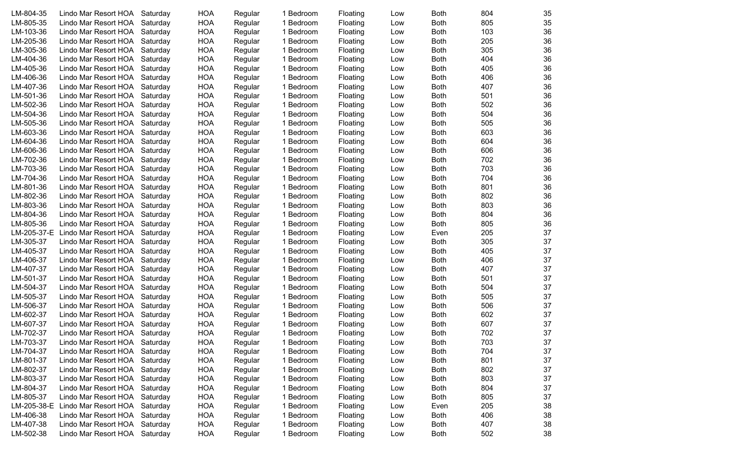| LM-804-35   | Lindo Mar Resort HOA | Saturday | HOA        | Regular | 1 Bedroom | Floating | Low | <b>Both</b> | 804 | 35 |
|-------------|----------------------|----------|------------|---------|-----------|----------|-----|-------------|-----|----|
| LM-805-35   | Lindo Mar Resort HOA | Saturday | <b>HOA</b> | Regular | 1 Bedroom | Floating | Low | <b>Both</b> | 805 | 35 |
| LM-103-36   | Lindo Mar Resort HOA | Saturday | <b>HOA</b> | Regular | 1 Bedroom | Floating | Low | <b>Both</b> | 103 | 36 |
| LM-205-36   | Lindo Mar Resort HOA | Saturday | <b>HOA</b> | Regular | 1 Bedroom | Floating | Low | <b>Both</b> | 205 | 36 |
| LM-305-36   | Lindo Mar Resort HOA | Saturday | <b>HOA</b> | Regular | 1 Bedroom | Floating | Low | <b>Both</b> | 305 | 36 |
| LM-404-36   | Lindo Mar Resort HOA | Saturday | <b>HOA</b> | Regular | 1 Bedroom | Floating | Low | <b>Both</b> | 404 | 36 |
| LM-405-36   | Lindo Mar Resort HOA | Saturday | <b>HOA</b> | Regular | 1 Bedroom | Floating | Low | <b>Both</b> | 405 | 36 |
| LM-406-36   | Lindo Mar Resort HOA | Saturday | <b>HOA</b> | Regular | 1 Bedroom | Floating | Low | <b>Both</b> | 406 | 36 |
| LM-407-36   | Lindo Mar Resort HOA | Saturday | <b>HOA</b> | Regular | 1 Bedroom | Floating | Low | <b>Both</b> | 407 | 36 |
| LM-501-36   | Lindo Mar Resort HOA | Saturday | <b>HOA</b> | Regular | 1 Bedroom | Floating | Low | <b>Both</b> | 501 | 36 |
| LM-502-36   | Lindo Mar Resort HOA | Saturday | <b>HOA</b> | Regular | 1 Bedroom | Floating | Low | <b>Both</b> | 502 | 36 |
| LM-504-36   | Lindo Mar Resort HOA | Saturday | <b>HOA</b> | Regular | 1 Bedroom | Floating | Low | <b>Both</b> | 504 | 36 |
| LM-505-36   | Lindo Mar Resort HOA | Saturday | <b>HOA</b> | Regular | 1 Bedroom | Floating | Low | <b>Both</b> | 505 | 36 |
| LM-603-36   | Lindo Mar Resort HOA | Saturday | <b>HOA</b> | Regular | 1 Bedroom | Floating | Low | <b>Both</b> | 603 | 36 |
| LM-604-36   | Lindo Mar Resort HOA | Saturday | <b>HOA</b> | Regular | 1 Bedroom | Floating | Low | <b>Both</b> | 604 | 36 |
| LM-606-36   | Lindo Mar Resort HOA | Saturday | <b>HOA</b> | Regular | 1 Bedroom | Floating | Low | <b>Both</b> | 606 | 36 |
| LM-702-36   | Lindo Mar Resort HOA | Saturday | <b>HOA</b> | Regular | 1 Bedroom | Floating | Low | <b>Both</b> | 702 | 36 |
| LM-703-36   | Lindo Mar Resort HOA | Saturday | <b>HOA</b> | Regular | 1 Bedroom | Floating | Low | <b>Both</b> | 703 | 36 |
| LM-704-36   | Lindo Mar Resort HOA | Saturday | <b>HOA</b> | Regular | 1 Bedroom | Floating | Low | <b>Both</b> | 704 | 36 |
| LM-801-36   | Lindo Mar Resort HOA | Saturday | <b>HOA</b> | Regular | 1 Bedroom | Floating | Low | <b>Both</b> | 801 | 36 |
| LM-802-36   | Lindo Mar Resort HOA | Saturday | <b>HOA</b> | Regular | 1 Bedroom | Floating | Low | <b>Both</b> | 802 | 36 |
| LM-803-36   | Lindo Mar Resort HOA | Saturday | <b>HOA</b> | Regular | 1 Bedroom | Floating | Low | <b>Both</b> | 803 | 36 |
| LM-804-36   | Lindo Mar Resort HOA | Saturday | <b>HOA</b> | Regular | 1 Bedroom | Floating | Low | <b>Both</b> | 804 | 36 |
| LM-805-36   | Lindo Mar Resort HOA | Saturday | <b>HOA</b> | Regular | 1 Bedroom | Floating | Low | <b>Both</b> | 805 | 36 |
| LM-205-37-E | Lindo Mar Resort HOA | Saturday | <b>HOA</b> | Regular | 1 Bedroom | Floating | Low | Even        | 205 | 37 |
| LM-305-37   | Lindo Mar Resort HOA | Saturday | <b>HOA</b> | Regular | 1 Bedroom | Floating | Low | <b>Both</b> | 305 | 37 |
| LM-405-37   | Lindo Mar Resort HOA | Saturday | <b>HOA</b> | Regular | 1 Bedroom | Floating | Low | <b>Both</b> | 405 | 37 |
| LM-406-37   | Lindo Mar Resort HOA | Saturday | <b>HOA</b> | Regular | 1 Bedroom | Floating | Low | <b>Both</b> | 406 | 37 |
| LM-407-37   | Lindo Mar Resort HOA | Saturday | <b>HOA</b> | Regular | 1 Bedroom | Floating | Low | <b>Both</b> | 407 | 37 |
| LM-501-37   | Lindo Mar Resort HOA | Saturday | <b>HOA</b> | Regular | 1 Bedroom | Floating | Low | <b>Both</b> | 501 | 37 |
| LM-504-37   | Lindo Mar Resort HOA | Saturday | <b>HOA</b> | Regular | 1 Bedroom | Floating | Low | <b>Both</b> | 504 | 37 |
| LM-505-37   | Lindo Mar Resort HOA | Saturday | <b>HOA</b> | Regular | 1 Bedroom | Floating | Low | <b>Both</b> | 505 | 37 |
| LM-506-37   | Lindo Mar Resort HOA | Saturday | <b>HOA</b> | Regular | 1 Bedroom | Floating | Low | <b>Both</b> | 506 | 37 |
| LM-602-37   | Lindo Mar Resort HOA | Saturday | <b>HOA</b> | Regular | 1 Bedroom | Floating | Low | <b>Both</b> | 602 | 37 |
| LM-607-37   | Lindo Mar Resort HOA | Saturday | <b>HOA</b> | Regular | 1 Bedroom | Floating | Low | <b>Both</b> | 607 | 37 |
| LM-702-37   | Lindo Mar Resort HOA | Saturday | HOA        | Regular | 1 Bedroom | Floating | Low | <b>Both</b> | 702 | 37 |
| LM-703-37   | Lindo Mar Resort HOA | Saturday | <b>HOA</b> | Regular | 1 Bedroom | Floating | Low | <b>Both</b> | 703 | 37 |
| LM-704-37   | Lindo Mar Resort HOA | Saturday | <b>HOA</b> | Regular | 1 Bedroom | Floating | Low | <b>Both</b> | 704 | 37 |
| LM-801-37   | Lindo Mar Resort HOA | Saturday | <b>HOA</b> | Regular | 1 Bedroom | Floating | Low | <b>Both</b> | 801 | 37 |
| LM-802-37   | Lindo Mar Resort HOA | Saturday | <b>HOA</b> | Regular | 1 Bedroom | Floating | Low | <b>Both</b> | 802 | 37 |
| LM-803-37   | Lindo Mar Resort HOA | Saturday | <b>HOA</b> | Regular | 1 Bedroom | Floating | Low | <b>Both</b> | 803 | 37 |
| LM-804-37   | Lindo Mar Resort HOA | Saturday | <b>HOA</b> | Regular | 1 Bedroom | Floating | Low | <b>Both</b> | 804 | 37 |
| LM-805-37   | Lindo Mar Resort HOA | Saturday | <b>HOA</b> | Regular | 1 Bedroom | Floating | Low | <b>Both</b> | 805 | 37 |
| LM-205-38-E | Lindo Mar Resort HOA | Saturday | <b>HOA</b> | Regular | 1 Bedroom | Floating | Low | Even        | 205 | 38 |
| LM-406-38   | Lindo Mar Resort HOA | Saturday | <b>HOA</b> | Regular | 1 Bedroom | Floating | Low | <b>Both</b> | 406 | 38 |
| LM-407-38   | Lindo Mar Resort HOA | Saturday | <b>HOA</b> | Regular | 1 Bedroom | Floating | Low | <b>Both</b> | 407 | 38 |
| LM-502-38   | Lindo Mar Resort HOA | Saturday | <b>HOA</b> | Regular | 1 Bedroom | Floating | Low | <b>Both</b> | 502 | 38 |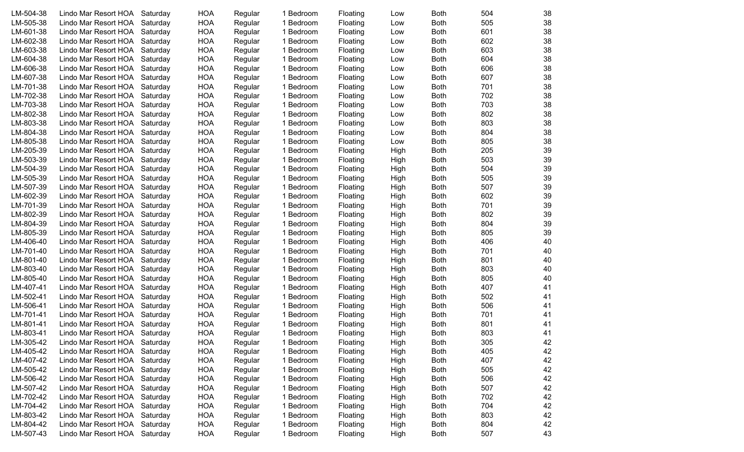| LM-504-38 | Lindo Mar Resort HOA | Saturday | HOA        | Regular | 1 Bedroom | Floating | Low  | <b>Both</b> | 504 | 38 |
|-----------|----------------------|----------|------------|---------|-----------|----------|------|-------------|-----|----|
| LM-505-38 | Lindo Mar Resort HOA | Saturday | <b>HOA</b> | Regular | 1 Bedroom | Floating | Low  | <b>Both</b> | 505 | 38 |
| LM-601-38 | Lindo Mar Resort HOA | Saturday | <b>HOA</b> | Regular | 1 Bedroom | Floating | Low  | <b>Both</b> | 601 | 38 |
| LM-602-38 | Lindo Mar Resort HOA | Saturday | <b>HOA</b> | Regular | 1 Bedroom | Floating | Low  | <b>Both</b> | 602 | 38 |
| LM-603-38 | Lindo Mar Resort HOA | Saturday | <b>HOA</b> | Regular | 1 Bedroom | Floating | Low  | <b>Both</b> | 603 | 38 |
| LM-604-38 | Lindo Mar Resort HOA | Saturday | <b>HOA</b> | Regular | 1 Bedroom | Floating | Low  | <b>Both</b> | 604 | 38 |
| LM-606-38 | Lindo Mar Resort HOA | Saturday | <b>HOA</b> | Regular | 1 Bedroom | Floating | Low  | <b>Both</b> | 606 | 38 |
| LM-607-38 | Lindo Mar Resort HOA | Saturday | <b>HOA</b> | Regular | 1 Bedroom | Floating | Low  | <b>Both</b> | 607 | 38 |
| LM-701-38 | Lindo Mar Resort HOA | Saturday | <b>HOA</b> | Regular | 1 Bedroom | Floating | Low  | <b>Both</b> | 701 | 38 |
| LM-702-38 | Lindo Mar Resort HOA | Saturday | <b>HOA</b> | Regular | 1 Bedroom | Floating | Low  | <b>Both</b> | 702 | 38 |
| LM-703-38 | Lindo Mar Resort HOA | Saturday | <b>HOA</b> | Regular | 1 Bedroom | Floating | Low  | <b>Both</b> | 703 | 38 |
| LM-802-38 | Lindo Mar Resort HOA | Saturday | <b>HOA</b> | Regular | 1 Bedroom | Floating | Low  | <b>Both</b> | 802 | 38 |
| LM-803-38 | Lindo Mar Resort HOA | Saturday | <b>HOA</b> | Regular | 1 Bedroom | Floating | Low  | <b>Both</b> | 803 | 38 |
| LM-804-38 | Lindo Mar Resort HOA | Saturday | <b>HOA</b> | Regular | 1 Bedroom | Floating | Low  | <b>Both</b> | 804 | 38 |
| LM-805-38 | Lindo Mar Resort HOA | Saturday | <b>HOA</b> | Regular | 1 Bedroom | Floating | Low  | <b>Both</b> | 805 | 38 |
| LM-205-39 | Lindo Mar Resort HOA | Saturday | <b>HOA</b> | Regular | 1 Bedroom | Floating | High | <b>Both</b> | 205 | 39 |
| LM-503-39 | Lindo Mar Resort HOA | Saturday | <b>HOA</b> | Regular | 1 Bedroom | Floating | High | <b>Both</b> | 503 | 39 |
| LM-504-39 | Lindo Mar Resort HOA | Saturday | <b>HOA</b> | Regular | 1 Bedroom | Floating | High | <b>Both</b> | 504 | 39 |
| LM-505-39 | Lindo Mar Resort HOA | Saturday | <b>HOA</b> | Regular | 1 Bedroom | Floating | High | <b>Both</b> | 505 | 39 |
| LM-507-39 | Lindo Mar Resort HOA | Saturday | <b>HOA</b> | Regular | 1 Bedroom | Floating | High | <b>Both</b> | 507 | 39 |
| LM-602-39 | Lindo Mar Resort HOA | Saturday | <b>HOA</b> | Regular | 1 Bedroom | Floating | High | <b>Both</b> | 602 | 39 |
| LM-701-39 | Lindo Mar Resort HOA | Saturday | <b>HOA</b> | Regular | 1 Bedroom | Floating | High | <b>Both</b> | 701 | 39 |
| LM-802-39 | Lindo Mar Resort HOA | Saturday | <b>HOA</b> | Regular | 1 Bedroom | Floating | High | <b>Both</b> | 802 | 39 |
| LM-804-39 | Lindo Mar Resort HOA | Saturday | <b>HOA</b> | Regular | 1 Bedroom | Floating | High | <b>Both</b> | 804 | 39 |
| LM-805-39 | Lindo Mar Resort HOA | Saturday | <b>HOA</b> | Regular | 1 Bedroom | Floating | High | <b>Both</b> | 805 | 39 |
| LM-406-40 | Lindo Mar Resort HOA | Saturday | <b>HOA</b> | Regular | 1 Bedroom | Floating | High | <b>Both</b> | 406 | 40 |
| LM-701-40 | Lindo Mar Resort HOA | Saturday | <b>HOA</b> | Regular | 1 Bedroom | Floating | High | <b>Both</b> | 701 | 40 |
| LM-801-40 | Lindo Mar Resort HOA | Saturday | <b>HOA</b> | Regular | 1 Bedroom | Floating | High | <b>Both</b> | 801 | 40 |
| LM-803-40 | Lindo Mar Resort HOA | Saturday | <b>HOA</b> | Regular | 1 Bedroom | Floating | High | <b>Both</b> | 803 | 40 |
| LM-805-40 | Lindo Mar Resort HOA | Saturday | <b>HOA</b> | Regular | 1 Bedroom | Floating | High | <b>Both</b> | 805 | 40 |
| LM-407-41 | Lindo Mar Resort HOA | Saturday | <b>HOA</b> | Regular | 1 Bedroom | Floating | High | <b>Both</b> | 407 | 41 |
| LM-502-41 | Lindo Mar Resort HOA | Saturday | <b>HOA</b> | Regular | 1 Bedroom | Floating | High | <b>Both</b> | 502 | 41 |
| LM-506-41 | Lindo Mar Resort HOA | Saturday | <b>HOA</b> | Regular | 1 Bedroom | Floating | High | <b>Both</b> | 506 | 41 |
| LM-701-41 | Lindo Mar Resort HOA | Saturday | <b>HOA</b> | Regular | 1 Bedroom | Floating | High | <b>Both</b> | 701 | 41 |
| LM-801-41 | Lindo Mar Resort HOA | Saturday | <b>HOA</b> | Regular | 1 Bedroom | Floating | High | <b>Both</b> | 801 | 41 |
| LM-803-41 | Lindo Mar Resort HOA | Saturday | <b>HOA</b> | Regular | 1 Bedroom | Floating | High | <b>Both</b> | 803 | 41 |
| LM-305-42 | Lindo Mar Resort HOA | Saturday | <b>HOA</b> | Regular | 1 Bedroom | Floating | High | <b>Both</b> | 305 | 42 |
| LM-405-42 | Lindo Mar Resort HOA | Saturday | <b>HOA</b> | Regular | 1 Bedroom | Floating | High | <b>Both</b> | 405 | 42 |
| LM-407-42 | Lindo Mar Resort HOA | Saturday | <b>HOA</b> | Regular | 1 Bedroom | Floating | High | <b>Both</b> | 407 | 42 |
| LM-505-42 | Lindo Mar Resort HOA | Saturday | <b>HOA</b> | Regular | 1 Bedroom | Floating | High | <b>Both</b> | 505 | 42 |
| LM-506-42 | Lindo Mar Resort HOA | Saturday | <b>HOA</b> | Regular | 1 Bedroom | Floating | High | <b>Both</b> | 506 | 42 |
| LM-507-42 | Lindo Mar Resort HOA | Saturday | <b>HOA</b> | Regular | 1 Bedroom | Floating | High | <b>Both</b> | 507 | 42 |
| LM-702-42 | Lindo Mar Resort HOA | Saturday | <b>HOA</b> | Regular | 1 Bedroom | Floating | High | <b>Both</b> | 702 | 42 |
| LM-704-42 | Lindo Mar Resort HOA | Saturday | <b>HOA</b> | Regular | 1 Bedroom | Floating | High | <b>Both</b> | 704 | 42 |
| LM-803-42 | Lindo Mar Resort HOA | Saturday | <b>HOA</b> | Regular | 1 Bedroom | Floating | High | <b>Both</b> | 803 | 42 |
| LM-804-42 | Lindo Mar Resort HOA | Saturday | <b>HOA</b> | Regular | 1 Bedroom | Floating | High | <b>Both</b> | 804 | 42 |
| LM-507-43 | Lindo Mar Resort HOA | Saturday | <b>HOA</b> | Regular | 1 Bedroom | Floating | High | <b>Both</b> | 507 | 43 |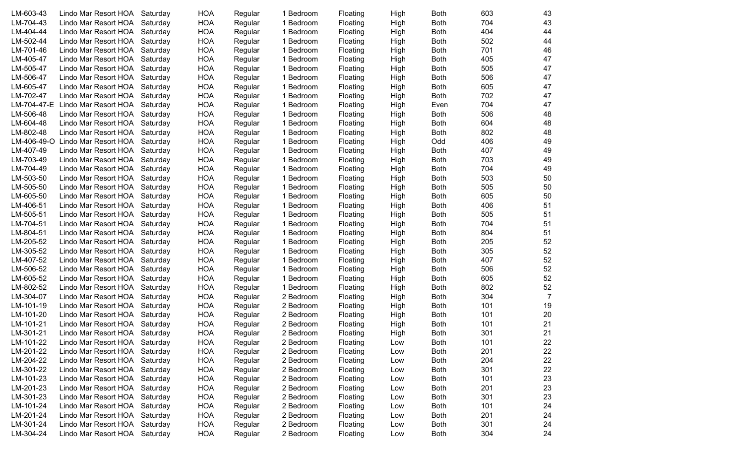| LM-603-43   | Lindo Mar Resort HOA | Saturday | <b>HOA</b> | Regular | 1 Bedroom | Floating | High | <b>Both</b> | 603 | 43             |
|-------------|----------------------|----------|------------|---------|-----------|----------|------|-------------|-----|----------------|
| LM-704-43   | Lindo Mar Resort HOA | Saturday | <b>HOA</b> | Regular | 1 Bedroom | Floating | High | <b>Both</b> | 704 | 43             |
| LM-404-44   | Lindo Mar Resort HOA | Saturday | <b>HOA</b> | Regular | 1 Bedroom | Floating | High | <b>Both</b> | 404 | 44             |
| LM-502-44   | Lindo Mar Resort HOA | Saturday | <b>HOA</b> | Regular | 1 Bedroom | Floating | High | <b>Both</b> | 502 | 44             |
| LM-701-46   | Lindo Mar Resort HOA | Saturday | <b>HOA</b> | Regular | 1 Bedroom | Floating | High | <b>Both</b> | 701 | 46             |
| LM-405-47   | Lindo Mar Resort HOA | Saturday | <b>HOA</b> | Regular | 1 Bedroom | Floating | High | <b>Both</b> | 405 | 47             |
| LM-505-47   | Lindo Mar Resort HOA | Saturday | <b>HOA</b> | Regular | 1 Bedroom | Floating | High | <b>Both</b> | 505 | 47             |
| LM-506-47   | Lindo Mar Resort HOA | Saturday | <b>HOA</b> | Regular | 1 Bedroom | Floating | High | <b>Both</b> | 506 | 47             |
| LM-605-47   | Lindo Mar Resort HOA | Saturday | <b>HOA</b> | Regular | 1 Bedroom | Floating | High | <b>Both</b> | 605 | 47             |
| LM-702-47   | Lindo Mar Resort HOA | Saturday | <b>HOA</b> | Regular | 1 Bedroom | Floating | High | <b>Both</b> | 702 | 47             |
| LM-704-47-E | Lindo Mar Resort HOA | Saturday | <b>HOA</b> | Regular | 1 Bedroom | Floating | High | Even        | 704 | 47             |
| LM-506-48   | Lindo Mar Resort HOA | Saturday | <b>HOA</b> | Regular | 1 Bedroom | Floating | High | <b>Both</b> | 506 | 48             |
| LM-604-48   | Lindo Mar Resort HOA | Saturday | <b>HOA</b> | Regular | 1 Bedroom | Floating | High | <b>Both</b> | 604 | 48             |
| LM-802-48   | Lindo Mar Resort HOA | Saturday | <b>HOA</b> | Regular | 1 Bedroom | Floating | High | <b>Both</b> | 802 | 48             |
| LM-406-49-O | Lindo Mar Resort HOA | Saturday | <b>HOA</b> | Regular | 1 Bedroom | Floating | High | Odd         | 406 | 49             |
| LM-407-49   | Lindo Mar Resort HOA | Saturday | <b>HOA</b> | Regular | 1 Bedroom | Floating | High | <b>Both</b> | 407 | 49             |
| LM-703-49   | Lindo Mar Resort HOA | Saturday | <b>HOA</b> | Regular | 1 Bedroom | Floating | High | <b>Both</b> | 703 | 49             |
| LM-704-49   | Lindo Mar Resort HOA | Saturday | <b>HOA</b> | Regular | 1 Bedroom | Floating | High | <b>Both</b> | 704 | 49             |
| LM-503-50   | Lindo Mar Resort HOA | Saturday | <b>HOA</b> | Regular | 1 Bedroom | Floating | High | <b>Both</b> | 503 | 50             |
| LM-505-50   | Lindo Mar Resort HOA | Saturday | <b>HOA</b> | Regular | 1 Bedroom | Floating | High | <b>Both</b> | 505 | 50             |
| LM-605-50   | Lindo Mar Resort HOA | Saturday | <b>HOA</b> | Regular | 1 Bedroom | Floating | High | <b>Both</b> | 605 | 50             |
| LM-406-51   | Lindo Mar Resort HOA | Saturday | <b>HOA</b> | Regular | 1 Bedroom | Floating | High | <b>Both</b> | 406 | 51             |
| LM-505-51   | Lindo Mar Resort HOA | Saturday | <b>HOA</b> | Regular | 1 Bedroom | Floating | High | <b>Both</b> | 505 | 51             |
| LM-704-51   | Lindo Mar Resort HOA | Saturday | <b>HOA</b> | Regular | 1 Bedroom | Floating | High | <b>Both</b> | 704 | 51             |
| LM-804-51   | Lindo Mar Resort HOA | Saturday | <b>HOA</b> | Regular | 1 Bedroom | Floating | High | <b>Both</b> | 804 | 51             |
| LM-205-52   | Lindo Mar Resort HOA | Saturday | <b>HOA</b> | Regular | 1 Bedroom | Floating | High | <b>Both</b> | 205 | 52             |
| LM-305-52   | Lindo Mar Resort HOA | Saturday | <b>HOA</b> | Regular | 1 Bedroom | Floating | High | <b>Both</b> | 305 | 52             |
| LM-407-52   | Lindo Mar Resort HOA | Saturday | <b>HOA</b> | Regular | 1 Bedroom | Floating | High | <b>Both</b> | 407 | 52             |
| LM-506-52   | Lindo Mar Resort HOA | Saturday | <b>HOA</b> | Regular | 1 Bedroom | Floating | High | <b>Both</b> | 506 | 52             |
| LM-605-52   | Lindo Mar Resort HOA | Saturday | <b>HOA</b> | Regular | 1 Bedroom | Floating | High | <b>Both</b> | 605 | 52             |
| LM-802-52   | Lindo Mar Resort HOA | Saturday | <b>HOA</b> | Regular | 1 Bedroom | Floating | High | <b>Both</b> | 802 | 52             |
| LM-304-07   | Lindo Mar Resort HOA | Saturday | <b>HOA</b> | Regular | 2 Bedroom | Floating | High | <b>Both</b> | 304 | $\overline{7}$ |
| LM-101-19   | Lindo Mar Resort HOA | Saturday | <b>HOA</b> | Regular | 2 Bedroom | Floating | High | <b>Both</b> | 101 | 19             |
| LM-101-20   | Lindo Mar Resort HOA | Saturday | <b>HOA</b> | Regular | 2 Bedroom | Floating | High | <b>Both</b> | 101 | 20             |
| LM-101-21   | Lindo Mar Resort HOA | Saturday | <b>HOA</b> | Regular | 2 Bedroom | Floating | High | <b>Both</b> | 101 | 21             |
| LM-301-21   | Lindo Mar Resort HOA | Saturday | <b>HOA</b> | Regular | 2 Bedroom | Floating | High | <b>Both</b> | 301 | 21             |
| LM-101-22   | Lindo Mar Resort HOA | Saturday | HOA        | Regular | 2 Bedroom | Floating | Low  | <b>Both</b> | 101 | 22             |
| LM-201-22   | Lindo Mar Resort HOA | Saturday | <b>HOA</b> | Regular | 2 Bedroom | Floating | Low  | <b>Both</b> | 201 | 22             |
| LM-204-22   | Lindo Mar Resort HOA | Saturday | <b>HOA</b> | Regular | 2 Bedroom | Floating | Low  | <b>Both</b> | 204 | 22             |
| LM-301-22   | Lindo Mar Resort HOA | Saturday | <b>HOA</b> | Regular | 2 Bedroom | Floating | Low  | <b>Both</b> | 301 | 22             |
| LM-101-23   | Lindo Mar Resort HOA | Saturday | <b>HOA</b> | Regular | 2 Bedroom | Floating | Low  | <b>Both</b> | 101 | 23             |
| LM-201-23   | Lindo Mar Resort HOA | Saturday | <b>HOA</b> | Regular | 2 Bedroom | Floating | Low  | <b>Both</b> | 201 | 23             |
| LM-301-23   | Lindo Mar Resort HOA | Saturday | <b>HOA</b> | Regular | 2 Bedroom | Floating | Low  | <b>Both</b> | 301 | 23             |
| LM-101-24   | Lindo Mar Resort HOA | Saturday | <b>HOA</b> | Regular | 2 Bedroom | Floating | Low  | <b>Both</b> | 101 | 24             |
| LM-201-24   | Lindo Mar Resort HOA | Saturday | <b>HOA</b> | Regular | 2 Bedroom | Floating | Low  | <b>Both</b> | 201 | 24             |
| LM-301-24   | Lindo Mar Resort HOA | Saturday | <b>HOA</b> | Regular | 2 Bedroom | Floating | Low  | <b>Both</b> | 301 | 24             |
| LM-304-24   | Lindo Mar Resort HOA | Saturday | <b>HOA</b> | Regular | 2 Bedroom | Floating | Low  | <b>Both</b> | 304 | 24             |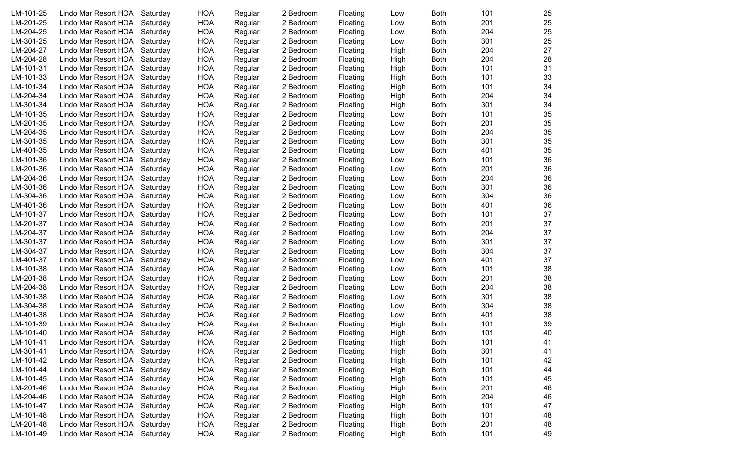| LM-101-25 | Lindo Mar Resort HOA | Saturday | <b>HOA</b> | Regular | 2 Bedroom | Floating | Low  | <b>Both</b> | 101 | 25 |
|-----------|----------------------|----------|------------|---------|-----------|----------|------|-------------|-----|----|
| LM-201-25 | Lindo Mar Resort HOA | Saturday | <b>HOA</b> | Regular | 2 Bedroom | Floating | Low  | <b>Both</b> | 201 | 25 |
| LM-204-25 | Lindo Mar Resort HOA | Saturday | <b>HOA</b> | Regular | 2 Bedroom | Floating | Low  | <b>Both</b> | 204 | 25 |
| LM-301-25 | Lindo Mar Resort HOA | Saturday | <b>HOA</b> | Regular | 2 Bedroom | Floating | Low  | <b>Both</b> | 301 | 25 |
| LM-204-27 | Lindo Mar Resort HOA | Saturday | <b>HOA</b> | Regular | 2 Bedroom | Floating | High | Both        | 204 | 27 |
| LM-204-28 | Lindo Mar Resort HOA | Saturday | <b>HOA</b> | Regular | 2 Bedroom | Floating | High | <b>Both</b> | 204 | 28 |
| LM-101-31 | Lindo Mar Resort HOA | Saturday | <b>HOA</b> | Regular | 2 Bedroom | Floating | High | Both        | 101 | 31 |
| LM-101-33 | Lindo Mar Resort HOA | Saturday | <b>HOA</b> | Regular | 2 Bedroom | Floating | High | <b>Both</b> | 101 | 33 |
| LM-101-34 | Lindo Mar Resort HOA | Saturday | <b>HOA</b> | Regular | 2 Bedroom | Floating | High | <b>Both</b> | 101 | 34 |
| LM-204-34 | Lindo Mar Resort HOA | Saturday | <b>HOA</b> | Regular | 2 Bedroom | Floating | High | <b>Both</b> | 204 | 34 |
| LM-301-34 | Lindo Mar Resort HOA | Saturday | <b>HOA</b> | Regular | 2 Bedroom | Floating | High | <b>Both</b> | 301 | 34 |
| LM-101-35 | Lindo Mar Resort HOA | Saturday | <b>HOA</b> | Regular | 2 Bedroom | Floating | Low  | <b>Both</b> | 101 | 35 |
| LM-201-35 | Lindo Mar Resort HOA | Saturday | <b>HOA</b> | Regular | 2 Bedroom | Floating | Low  | <b>Both</b> | 201 | 35 |
| LM-204-35 | Lindo Mar Resort HOA | Saturday | <b>HOA</b> | Regular | 2 Bedroom | Floating | Low  | Both        | 204 | 35 |
| LM-301-35 | Lindo Mar Resort HOA | Saturday | <b>HOA</b> | Regular | 2 Bedroom | Floating | Low  | Both        | 301 | 35 |
| LM-401-35 | Lindo Mar Resort HOA | Saturday | <b>HOA</b> | Regular | 2 Bedroom | Floating | Low  | <b>Both</b> | 401 | 35 |
| LM-101-36 | Lindo Mar Resort HOA | Saturday | <b>HOA</b> | Regular | 2 Bedroom | Floating | Low  | <b>Both</b> | 101 | 36 |
| LM-201-36 | Lindo Mar Resort HOA | Saturday | <b>HOA</b> | Regular | 2 Bedroom | Floating | Low  | <b>Both</b> | 201 | 36 |
| LM-204-36 | Lindo Mar Resort HOA | Saturday | <b>HOA</b> | Regular | 2 Bedroom | Floating | Low  | <b>Both</b> | 204 | 36 |
| LM-301-36 | Lindo Mar Resort HOA | Saturday | <b>HOA</b> | Regular | 2 Bedroom | Floating | Low  | <b>Both</b> | 301 | 36 |
| LM-304-36 | Lindo Mar Resort HOA | Saturday | <b>HOA</b> | Regular | 2 Bedroom | Floating | Low  | <b>Both</b> | 304 | 36 |
| LM-401-36 | Lindo Mar Resort HOA | Saturday | <b>HOA</b> | Regular | 2 Bedroom | Floating | Low  | <b>Both</b> | 401 | 36 |
| LM-101-37 | Lindo Mar Resort HOA | Saturday | <b>HOA</b> | Regular | 2 Bedroom | Floating | Low  | <b>Both</b> | 101 | 37 |
| LM-201-37 | Lindo Mar Resort HOA | Saturday | <b>HOA</b> | Regular | 2 Bedroom | Floating | Low  | <b>Both</b> | 201 | 37 |
| LM-204-37 | Lindo Mar Resort HOA | Saturday | <b>HOA</b> | Regular | 2 Bedroom | Floating | Low  | <b>Both</b> | 204 | 37 |
| LM-301-37 | Lindo Mar Resort HOA | Saturday | <b>HOA</b> | Regular | 2 Bedroom | Floating | Low  | <b>Both</b> | 301 | 37 |
| LM-304-37 | Lindo Mar Resort HOA | Saturday | <b>HOA</b> | Regular | 2 Bedroom | Floating | Low  | <b>Both</b> | 304 | 37 |
| LM-401-37 | Lindo Mar Resort HOA | Saturday | <b>HOA</b> | Regular | 2 Bedroom | Floating | Low  | <b>Both</b> | 401 | 37 |
| LM-101-38 | Lindo Mar Resort HOA | Saturday | <b>HOA</b> | Regular | 2 Bedroom | Floating | Low  | <b>Both</b> | 101 | 38 |
| LM-201-38 | Lindo Mar Resort HOA | Saturday | <b>HOA</b> | Regular | 2 Bedroom | Floating | Low  | <b>Both</b> | 201 | 38 |
| LM-204-38 | Lindo Mar Resort HOA | Saturday | <b>HOA</b> | Regular | 2 Bedroom | Floating | Low  | Both        | 204 | 38 |
| LM-301-38 | Lindo Mar Resort HOA | Saturday | <b>HOA</b> | Regular | 2 Bedroom | Floating | Low  | <b>Both</b> | 301 | 38 |
| LM-304-38 | Lindo Mar Resort HOA | Saturday | <b>HOA</b> | Regular | 2 Bedroom | Floating | Low  | <b>Both</b> | 304 | 38 |
| LM-401-38 | Lindo Mar Resort HOA | Saturday | <b>HOA</b> | Regular | 2 Bedroom | Floating | Low  | <b>Both</b> | 401 | 38 |
| LM-101-39 | Lindo Mar Resort HOA | Saturday | <b>HOA</b> | Regular | 2 Bedroom | Floating | High | <b>Both</b> | 101 | 39 |
| LM-101-40 | Lindo Mar Resort HOA | Saturday | HOA        | Regular | 2 Bedroom | Floating | High | Both        | 101 | 40 |
| LM-101-41 | Lindo Mar Resort HOA | Saturday | HOA        | Regular | 2 Bedroom | Floating | High | <b>Both</b> | 101 | 41 |
| LM-301-41 | Lindo Mar Resort HOA | Saturday | <b>HOA</b> | Regular | 2 Bedroom | Floating | High | <b>Both</b> | 301 | 41 |
| LM-101-42 | Lindo Mar Resort HOA | Saturday | <b>HOA</b> | Regular | 2 Bedroom | Floating | High | <b>Both</b> | 101 | 42 |
| LM-101-44 | Lindo Mar Resort HOA | Saturday | <b>HOA</b> | Regular | 2 Bedroom | Floating | High | Both        | 101 | 44 |
| LM-101-45 | Lindo Mar Resort HOA | Saturday | <b>HOA</b> | Regular | 2 Bedroom | Floating | High | <b>Both</b> | 101 | 45 |
| LM-201-46 | Lindo Mar Resort HOA | Saturday | <b>HOA</b> | Regular | 2 Bedroom | Floating | High | Both        | 201 | 46 |
| LM-204-46 | Lindo Mar Resort HOA | Saturday | <b>HOA</b> | Regular | 2 Bedroom | Floating | High | Both        | 204 | 46 |
| LM-101-47 | Lindo Mar Resort HOA | Saturday | <b>HOA</b> | Regular | 2 Bedroom | Floating | High | <b>Both</b> | 101 | 47 |
| LM-101-48 | Lindo Mar Resort HOA | Saturday | <b>HOA</b> | Regular | 2 Bedroom | Floating | High | <b>Both</b> | 101 | 48 |
| LM-201-48 | Lindo Mar Resort HOA | Saturday | <b>HOA</b> | Regular | 2 Bedroom | Floating | High | <b>Both</b> | 201 | 48 |
| LM-101-49 | Lindo Mar Resort HOA | Saturday | <b>HOA</b> | Regular | 2 Bedroom | Floating | High | <b>Both</b> | 101 | 49 |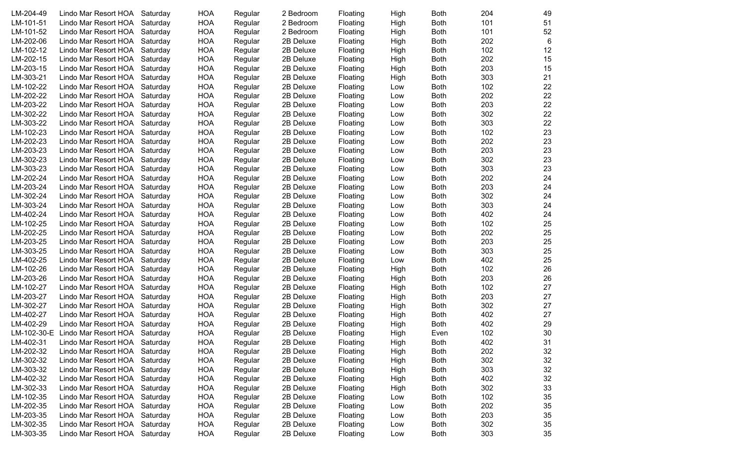| LM-204-49   | Lindo Mar Resort HOA | Saturday | <b>HOA</b> | Regular | 2 Bedroom | Floating | High | <b>Both</b> | 204 | 49 |
|-------------|----------------------|----------|------------|---------|-----------|----------|------|-------------|-----|----|
| LM-101-51   | Lindo Mar Resort HOA | Saturday | <b>HOA</b> | Regular | 2 Bedroom | Floating | High | <b>Both</b> | 101 | 51 |
| LM-101-52   | Lindo Mar Resort HOA | Saturday | <b>HOA</b> | Regular | 2 Bedroom | Floating | High | <b>Both</b> | 101 | 52 |
| LM-202-06   | Lindo Mar Resort HOA | Saturday | <b>HOA</b> | Regular | 2B Deluxe | Floating | High | <b>Both</b> | 202 | 6  |
| LM-102-12   | Lindo Mar Resort HOA | Saturday | <b>HOA</b> | Regular | 2B Deluxe | Floating | High | <b>Both</b> | 102 | 12 |
| LM-202-15   | Lindo Mar Resort HOA | Saturday | <b>HOA</b> | Regular | 2B Deluxe | Floating | High | <b>Both</b> | 202 | 15 |
| LM-203-15   | Lindo Mar Resort HOA | Saturday | <b>HOA</b> | Regular | 2B Deluxe | Floating | High | <b>Both</b> | 203 | 15 |
| LM-303-21   | Lindo Mar Resort HOA | Saturday | <b>HOA</b> | Regular | 2B Deluxe | Floating | High | <b>Both</b> | 303 | 21 |
| LM-102-22   | Lindo Mar Resort HOA | Saturday | <b>HOA</b> | Regular | 2B Deluxe | Floating | Low  | <b>Both</b> | 102 | 22 |
| LM-202-22   | Lindo Mar Resort HOA | Saturday | <b>HOA</b> | Regular | 2B Deluxe | Floating | Low  | <b>Both</b> | 202 | 22 |
| LM-203-22   | Lindo Mar Resort HOA | Saturday | <b>HOA</b> | Regular | 2B Deluxe | Floating | Low  | <b>Both</b> | 203 | 22 |
| LM-302-22   | Lindo Mar Resort HOA | Saturday | <b>HOA</b> | Regular | 2B Deluxe | Floating | Low  | <b>Both</b> | 302 | 22 |
| LM-303-22   | Lindo Mar Resort HOA | Saturday | <b>HOA</b> | Regular | 2B Deluxe | Floating | Low  | <b>Both</b> | 303 | 22 |
| LM-102-23   | Lindo Mar Resort HOA | Saturday | <b>HOA</b> | Regular | 2B Deluxe | Floating | Low  | <b>Both</b> | 102 | 23 |
| LM-202-23   | Lindo Mar Resort HOA | Saturday | <b>HOA</b> | Regular | 2B Deluxe | Floating | Low  | <b>Both</b> | 202 | 23 |
| LM-203-23   | Lindo Mar Resort HOA | Saturday | <b>HOA</b> | Regular | 2B Deluxe | Floating | Low  | <b>Both</b> | 203 | 23 |
| LM-302-23   | Lindo Mar Resort HOA | Saturday | <b>HOA</b> | Regular | 2B Deluxe | Floating | Low  | <b>Both</b> | 302 | 23 |
| LM-303-23   | Lindo Mar Resort HOA | Saturday | <b>HOA</b> | Regular | 2B Deluxe | Floating | Low  | <b>Both</b> | 303 | 23 |
| LM-202-24   | Lindo Mar Resort HOA | Saturday | <b>HOA</b> | Regular | 2B Deluxe | Floating | Low  | <b>Both</b> | 202 | 24 |
| LM-203-24   | Lindo Mar Resort HOA | Saturday | <b>HOA</b> | Regular | 2B Deluxe | Floating | Low  | <b>Both</b> | 203 | 24 |
| LM-302-24   | Lindo Mar Resort HOA | Saturday | <b>HOA</b> | Regular | 2B Deluxe | Floating | Low  | <b>Both</b> | 302 | 24 |
| LM-303-24   | Lindo Mar Resort HOA | Saturday | <b>HOA</b> | Regular | 2B Deluxe | Floating | Low  | <b>Both</b> | 303 | 24 |
| LM-402-24   | Lindo Mar Resort HOA | Saturday | <b>HOA</b> | Regular | 2B Deluxe | Floating | Low  | <b>Both</b> | 402 | 24 |
| LM-102-25   | Lindo Mar Resort HOA | Saturday | <b>HOA</b> | Regular | 2B Deluxe | Floating | Low  | <b>Both</b> | 102 | 25 |
| LM-202-25   | Lindo Mar Resort HOA | Saturday | <b>HOA</b> | Regular | 2B Deluxe | Floating | Low  | <b>Both</b> | 202 | 25 |
| LM-203-25   | Lindo Mar Resort HOA | Saturday | <b>HOA</b> | Regular | 2B Deluxe | Floating | Low  | <b>Both</b> | 203 | 25 |
| LM-303-25   | Lindo Mar Resort HOA | Saturday | <b>HOA</b> | Regular | 2B Deluxe | Floating | Low  | <b>Both</b> | 303 | 25 |
| LM-402-25   | Lindo Mar Resort HOA | Saturday | <b>HOA</b> | Regular | 2B Deluxe | Floating | Low  | <b>Both</b> | 402 | 25 |
| LM-102-26   | Lindo Mar Resort HOA | Saturday | <b>HOA</b> | Regular | 2B Deluxe | Floating | High | <b>Both</b> | 102 | 26 |
| LM-203-26   | Lindo Mar Resort HOA | Saturday | <b>HOA</b> | Regular | 2B Deluxe | Floating | High | <b>Both</b> | 203 | 26 |
| LM-102-27   | Lindo Mar Resort HOA | Saturday | <b>HOA</b> | Regular | 2B Deluxe | Floating | High | <b>Both</b> | 102 | 27 |
| LM-203-27   | Lindo Mar Resort HOA | Saturday | <b>HOA</b> | Regular | 2B Deluxe | Floating | High | <b>Both</b> | 203 | 27 |
| LM-302-27   | Lindo Mar Resort HOA | Saturday | <b>HOA</b> | Regular | 2B Deluxe | Floating | High | <b>Both</b> | 302 | 27 |
| LM-402-27   | Lindo Mar Resort HOA | Saturday | <b>HOA</b> | Regular | 2B Deluxe | Floating | High | <b>Both</b> | 402 | 27 |
| LM-402-29   | Lindo Mar Resort HOA | Saturday | <b>HOA</b> | Regular | 2B Deluxe | Floating | High | <b>Both</b> | 402 | 29 |
| LM-102-30-E | Lindo Mar Resort HOA | Saturday | <b>HOA</b> | Regular | 2B Deluxe | Floating | High | Even        | 102 | 30 |
| LM-402-31   | Lindo Mar Resort HOA | Saturday | <b>HOA</b> | Regular | 2B Deluxe | Floating | High | <b>Both</b> | 402 | 31 |
| LM-202-32   | Lindo Mar Resort HOA | Saturday | <b>HOA</b> | Regular | 2B Deluxe | Floating | High | <b>Both</b> | 202 | 32 |
| LM-302-32   | Lindo Mar Resort HOA | Saturday | <b>HOA</b> | Regular | 2B Deluxe | Floating | High | <b>Both</b> | 302 | 32 |
| LM-303-32   | Lindo Mar Resort HOA | Saturday | <b>HOA</b> | Regular | 2B Deluxe | Floating | High | <b>Both</b> | 303 | 32 |
| LM-402-32   | Lindo Mar Resort HOA | Saturday | <b>HOA</b> | Regular | 2B Deluxe | Floating | High | <b>Both</b> | 402 | 32 |
| LM-302-33   | Lindo Mar Resort HOA | Saturday | <b>HOA</b> | Regular | 2B Deluxe | Floating | High | <b>Both</b> | 302 | 33 |
| LM-102-35   | Lindo Mar Resort HOA | Saturday | <b>HOA</b> | Regular | 2B Deluxe | Floating | Low  | <b>Both</b> | 102 | 35 |
| LM-202-35   | Lindo Mar Resort HOA | Saturday | <b>HOA</b> | Regular | 2B Deluxe | Floating | Low  | <b>Both</b> | 202 | 35 |
| LM-203-35   | Lindo Mar Resort HOA | Saturday | <b>HOA</b> | Regular | 2B Deluxe | Floating | Low  | <b>Both</b> | 203 | 35 |
| LM-302-35   | Lindo Mar Resort HOA | Saturday | <b>HOA</b> | Regular | 2B Deluxe | Floating | Low  | <b>Both</b> | 302 | 35 |
| LM-303-35   | Lindo Mar Resort HOA | Saturday | <b>HOA</b> | Regular | 2B Deluxe | Floating | Low  | <b>Both</b> | 303 | 35 |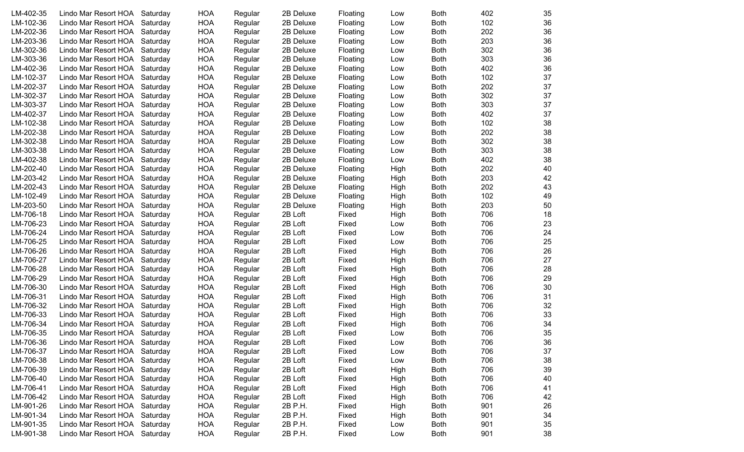| LM-402-35              | Lindo Mar Resort HOA                         | Saturday             | <b>HOA</b>               | Regular | 2B Deluxe          | Floating       | Low  | <b>Both</b>                | 402        | 35       |
|------------------------|----------------------------------------------|----------------------|--------------------------|---------|--------------------|----------------|------|----------------------------|------------|----------|
| LM-102-36              | Lindo Mar Resort HOA                         | Saturday             | <b>HOA</b>               | Regular | 2B Deluxe          | Floating       | Low  | <b>Both</b>                | 102        | 36       |
| LM-202-36              | Lindo Mar Resort HOA                         | Saturday             | <b>HOA</b>               | Regular | 2B Deluxe          | Floating       | Low  | <b>Both</b>                | 202        | 36       |
| LM-203-36              | Lindo Mar Resort HOA                         | Saturday             | <b>HOA</b>               | Regular | 2B Deluxe          | Floating       | Low  | <b>Both</b>                | 203        | 36       |
| LM-302-36              | Lindo Mar Resort HOA                         | Saturday             | <b>HOA</b>               | Regular | 2B Deluxe          | Floating       | Low  | <b>Both</b>                | 302        | 36       |
| LM-303-36              | Lindo Mar Resort HOA                         | Saturday             | <b>HOA</b>               | Regular | 2B Deluxe          | Floating       | Low  | <b>Both</b>                | 303        | 36       |
| LM-402-36              | Lindo Mar Resort HOA                         | Saturday             | <b>HOA</b>               | Regular | 2B Deluxe          | Floating       | Low  | Both                       | 402        | 36       |
| LM-102-37              | Lindo Mar Resort HOA                         | Saturday             | <b>HOA</b>               | Regular | 2B Deluxe          | Floating       | Low  | <b>Both</b>                | 102        | 37       |
| LM-202-37              | Lindo Mar Resort HOA                         | Saturday             | <b>HOA</b>               | Regular | 2B Deluxe          | Floating       | Low  | <b>Both</b>                | 202        | 37       |
| LM-302-37              | Lindo Mar Resort HOA                         | Saturday             | <b>HOA</b>               | Regular | 2B Deluxe          | Floating       | Low  | <b>Both</b>                | 302        | 37       |
| LM-303-37              | Lindo Mar Resort HOA                         | Saturday             | <b>HOA</b>               | Regular | 2B Deluxe          | Floating       | Low  | <b>Both</b>                | 303        | 37       |
| LM-402-37              | Lindo Mar Resort HOA                         | Saturday             | <b>HOA</b>               | Regular | 2B Deluxe          | Floating       | Low  | <b>Both</b>                | 402        | 37       |
| LM-102-38              | Lindo Mar Resort HOA                         | Saturday             | <b>HOA</b>               | Regular | 2B Deluxe          | Floating       | Low  | <b>Both</b>                | 102        | 38       |
| LM-202-38              | Lindo Mar Resort HOA                         | Saturday             | <b>HOA</b>               | Regular | 2B Deluxe          | Floating       | Low  | <b>Both</b>                | 202        | 38       |
| LM-302-38              | Lindo Mar Resort HOA                         | Saturday             | <b>HOA</b>               | Regular | 2B Deluxe          | Floating       | Low  | <b>Both</b>                | 302        | 38       |
| LM-303-38              | Lindo Mar Resort HOA                         | Saturday             | <b>HOA</b>               | Regular | 2B Deluxe          | Floating       | Low  | <b>Both</b>                | 303        | 38       |
| LM-402-38              | Lindo Mar Resort HOA                         | Saturday             | <b>HOA</b>               | Regular | 2B Deluxe          | Floating       | Low  | <b>Both</b>                | 402        | 38       |
| LM-202-40              | Lindo Mar Resort HOA                         | Saturday             | <b>HOA</b>               | Regular | 2B Deluxe          | Floating       | High | <b>Both</b>                | 202        | 40       |
| LM-203-42              | Lindo Mar Resort HOA                         | Saturday             | <b>HOA</b>               | Regular | 2B Deluxe          | Floating       | High | <b>Both</b>                | 203        | 42       |
| LM-202-43              | Lindo Mar Resort HOA                         | Saturday             | <b>HOA</b>               | Regular | 2B Deluxe          | Floating       | High | <b>Both</b>                | 202        | 43       |
| LM-102-49              | Lindo Mar Resort HOA                         | Saturday             | <b>HOA</b>               | Regular | 2B Deluxe          | Floating       | High | <b>Both</b>                | 102        | 49       |
| LM-203-50              | Lindo Mar Resort HOA                         | Saturday             | <b>HOA</b>               | Regular | 2B Deluxe          | Floating       | High | <b>Both</b>                | 203        | 50       |
| LM-706-18              | Lindo Mar Resort HOA                         | Saturday             | <b>HOA</b>               | Regular | 2B Loft            | Fixed          | High | <b>Both</b>                | 706        | 18       |
| LM-706-23              | Lindo Mar Resort HOA                         | Saturday             | <b>HOA</b>               | Regular | 2B Loft            | Fixed          | Low  | <b>Both</b>                | 706        | 23       |
| LM-706-24              | Lindo Mar Resort HOA                         | Saturday             | <b>HOA</b>               | Regular | 2B Loft            | Fixed          | Low  | <b>Both</b>                | 706        | 24       |
| LM-706-25              | Lindo Mar Resort HOA                         | Saturday             | <b>HOA</b>               | Regular | 2B Loft            | Fixed          | Low  | <b>Both</b>                | 706        | 25       |
| LM-706-26              | Lindo Mar Resort HOA                         | Saturday             | <b>HOA</b>               | Regular | 2B Loft            | Fixed          | High | <b>Both</b>                | 706        | 26       |
| LM-706-27              | Lindo Mar Resort HOA                         | Saturday             | <b>HOA</b>               | Regular | 2B Loft            | Fixed          | High | <b>Both</b>                | 706        | 27       |
| LM-706-28              | Lindo Mar Resort HOA                         | Saturday             | <b>HOA</b>               | Regular | 2B Loft            | Fixed          | High | <b>Both</b>                | 706        | 28       |
| LM-706-29              | Lindo Mar Resort HOA                         | Saturday             | <b>HOA</b>               | Regular | 2B Loft            | Fixed          | High | <b>Both</b>                | 706        | 29       |
| LM-706-30              | Lindo Mar Resort HOA                         | Saturday             | <b>HOA</b>               | Regular | 2B Loft            | Fixed          | High | <b>Both</b>                | 706        | 30       |
| LM-706-31              | Lindo Mar Resort HOA                         | Saturday             | <b>HOA</b>               | Regular | 2B Loft            | Fixed          | High | <b>Both</b>                | 706        | 31       |
| LM-706-32              | Lindo Mar Resort HOA                         | Saturday             | <b>HOA</b>               | Regular | 2B Loft            | Fixed          | High | <b>Both</b>                | 706        | 32       |
| LM-706-33              | Lindo Mar Resort HOA                         | Saturday             | <b>HOA</b>               | Regular | 2B Loft            | Fixed          | High | Both                       | 706        | 33       |
| LM-706-34              | Lindo Mar Resort HOA                         | Saturday             | <b>HOA</b>               | Regular | 2B Loft            | Fixed          | High | <b>Both</b>                | 706        | 34       |
| LM-706-35              | Lindo Mar Resort HOA                         | Saturday             | <b>HOA</b>               | Regular | 2B Loft            | Fixed          | Low  | <b>Both</b>                | 706        | 35       |
| LM-706-36              | Lindo Mar Resort HOA                         | Saturday             | <b>HOA</b>               | Regular | 2B Loft            | Fixed          | Low  | <b>Both</b>                | 706        | 36       |
| LM-706-37              | Lindo Mar Resort HOA                         | Saturday             | <b>HOA</b>               | Regular | 2B Loft            | Fixed          | Low  | <b>Both</b>                | 706        | 37       |
| LM-706-38              | Lindo Mar Resort HOA                         | Saturday             | <b>HOA</b>               | Regular | 2B Loft            | Fixed          | Low  | <b>Both</b>                | 706        | 38       |
| LM-706-39              | Lindo Mar Resort HOA                         | Saturday             | <b>HOA</b>               | Regular | 2B Loft            | Fixed          | High | <b>Both</b>                | 706        | 39       |
| LM-706-40              | Lindo Mar Resort HOA                         | Saturday             | <b>HOA</b>               | Regular | 2B Loft            | Fixed          | High | <b>Both</b>                | 706        | 40       |
| LM-706-41              | Lindo Mar Resort HOA                         | Saturday             | <b>HOA</b>               | Regular | 2B Loft            | Fixed          | High | <b>Both</b>                | 706        | 41       |
| LM-706-42              | Lindo Mar Resort HOA                         | Saturday             | <b>HOA</b>               | Regular | 2B Loft            | Fixed          | High | <b>Both</b>                | 706        | 42       |
| LM-901-26<br>LM-901-34 | Lindo Mar Resort HOA                         | Saturday             | <b>HOA</b>               | Regular | 2B P.H.            | Fixed          | High | <b>Both</b>                | 901        | 26       |
| LM-901-35              | Lindo Mar Resort HOA<br>Lindo Mar Resort HOA | Saturday             | <b>HOA</b>               | Regular | 2B P.H.            | Fixed          | High | <b>Both</b>                | 901        | 34       |
| LM-901-38              | Lindo Mar Resort HOA                         | Saturday<br>Saturday | <b>HOA</b><br><b>HOA</b> | Regular | 2B P.H.<br>2B P.H. | Fixed<br>Fixed | Low  | <b>Both</b><br><b>Both</b> | 901<br>901 | 35<br>38 |
|                        |                                              |                      |                          | Regular |                    |                | Low  |                            |            |          |